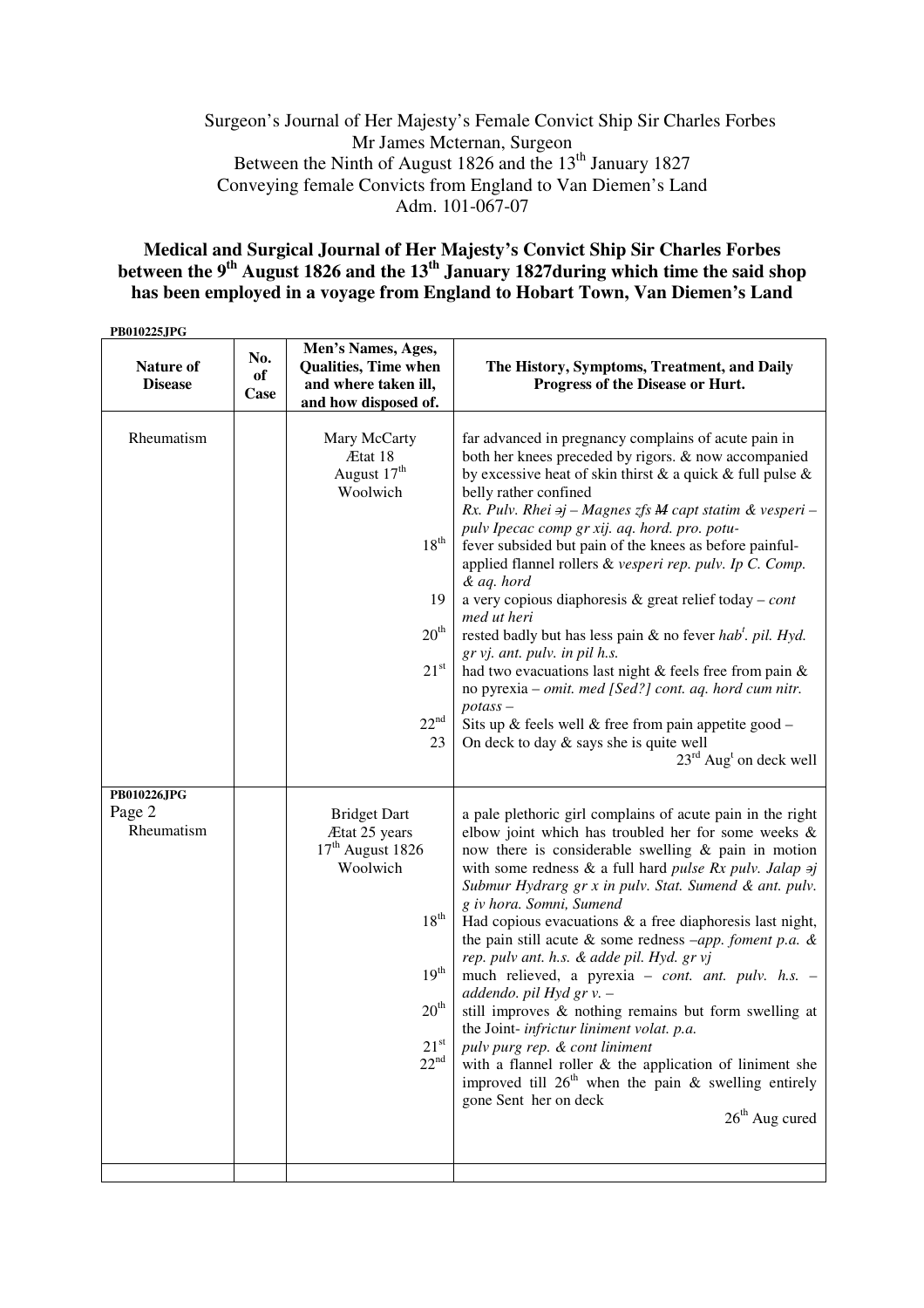## Surgeon's Journal of Her Majesty's Female Convict Ship Sir Charles Forbes Mr James Mcternan, Surgeon Between the Ninth of August 1826 and the 13<sup>th</sup> January 1827 Conveying female Convicts from England to Van Diemen's Land Adm. 101-067-07

## **Medical and Surgical Journal of Her Majesty's Convict Ship Sir Charles Forbes between the 9th August 1826 and the 13th January 1827during which time the said shop has been employed in a voyage from England to Hobart Town, Van Diemen's Land**

**PB010225JPG** 

| PBV1V445JPG<br>Nature of<br><b>Disease</b> | No.<br>of<br>Case | Men's Names, Ages,<br><b>Qualities, Time when</b><br>and where taken ill,<br>and how disposed of.                                                                   | The History, Symptoms, Treatment, and Daily<br>Progress of the Disease or Hurt.                                                                                                                                                                                                                                                                                                                                                                                                                                                                                                                                                                                                                                                                                                                                                                                                                                                                   |
|--------------------------------------------|-------------------|---------------------------------------------------------------------------------------------------------------------------------------------------------------------|---------------------------------------------------------------------------------------------------------------------------------------------------------------------------------------------------------------------------------------------------------------------------------------------------------------------------------------------------------------------------------------------------------------------------------------------------------------------------------------------------------------------------------------------------------------------------------------------------------------------------------------------------------------------------------------------------------------------------------------------------------------------------------------------------------------------------------------------------------------------------------------------------------------------------------------------------|
| Rheumatism                                 |                   | Mary McCarty<br>Ætat 18<br>August 17 <sup>th</sup><br>Woolwich<br>$18^{th}$<br>19<br>20 <sup>th</sup><br>21 <sup>st</sup><br>$22^{nd}$<br>23                        | far advanced in pregnancy complains of acute pain in<br>both her knees preceded by rigors. & now accompanied<br>by excessive heat of skin thirst $\&$ a quick $\&$ full pulse $\&$<br>belly rather confined<br>Rx. Pulv. Rhei $\theta$ j – Magnes zfs M capt statim & vesperi –<br>pulv Ipecac comp gr xij. aq. hord. pro. potu-<br>fever subsided but pain of the knees as before painful-<br>applied flannel rollers & vesperi rep. pulv. Ip C. Comp.<br>& aq. hord<br>a very copious diaphoresis & great relief today – <i>cont</i><br>med ut heri<br>rested badly but has less pain & no fever hab'. pil. Hyd.<br>gr vj. ant. pulv. in pil h.s.<br>had two evacuations last night & feels free from pain &<br>no pyrexia - omit. med [Sed?] cont. aq. hord cum nitr.<br>$potass -$<br>Sits up & feels well & free from pain appetite good $-$<br>On deck to day $\&$ says she is quite well<br>$23^{\text{rd}}$ Aug <sup>t</sup> on deck well |
| PB010226JPG<br>Page 2<br>Rheumatism        |                   | <b>Bridget Dart</b><br>Ætat 25 years<br>$17th$ August 1826<br>Woolwich<br>$18^{th}$<br>19 <sup>th</sup><br>$20^{\text{th}}$<br>21 <sup>st</sup><br>22 <sup>nd</sup> | a pale plethoric girl complains of acute pain in the right<br>elbow joint which has troubled her for some weeks $\&$<br>now there is considerable swelling $\&$ pain in motion<br>with some redness $\&$ a full hard <i>pulse Rx pulv. Jalap <math>\ni j</math></i><br>Submur Hydrarg gr x in pulv. Stat. Sumend & ant. pulv.<br>g iv hora. Somni, Sumend<br>Had copious evacuations $\&$ a free diaphoresis last night,<br>the pain still acute $\&$ some redness -app. foment p.a. $\&$<br>rep. pulv ant. h.s. & adde pil. Hyd. gr vj<br>much relieved, a pyrexia - cont. ant. pulv. h.s. -<br>addendo. pil Hyd gr v. -<br>still improves & nothing remains but form swelling at<br>the Joint-infrictur liniment volat. p.a.<br>pulv purg rep. & cont liniment<br>with a flannel roller $\&$ the application of liniment she<br>improved till $26th$ when the pain & swelling entirely<br>gone Sent her on deck<br>$26th$ Aug cured             |
|                                            |                   |                                                                                                                                                                     |                                                                                                                                                                                                                                                                                                                                                                                                                                                                                                                                                                                                                                                                                                                                                                                                                                                                                                                                                   |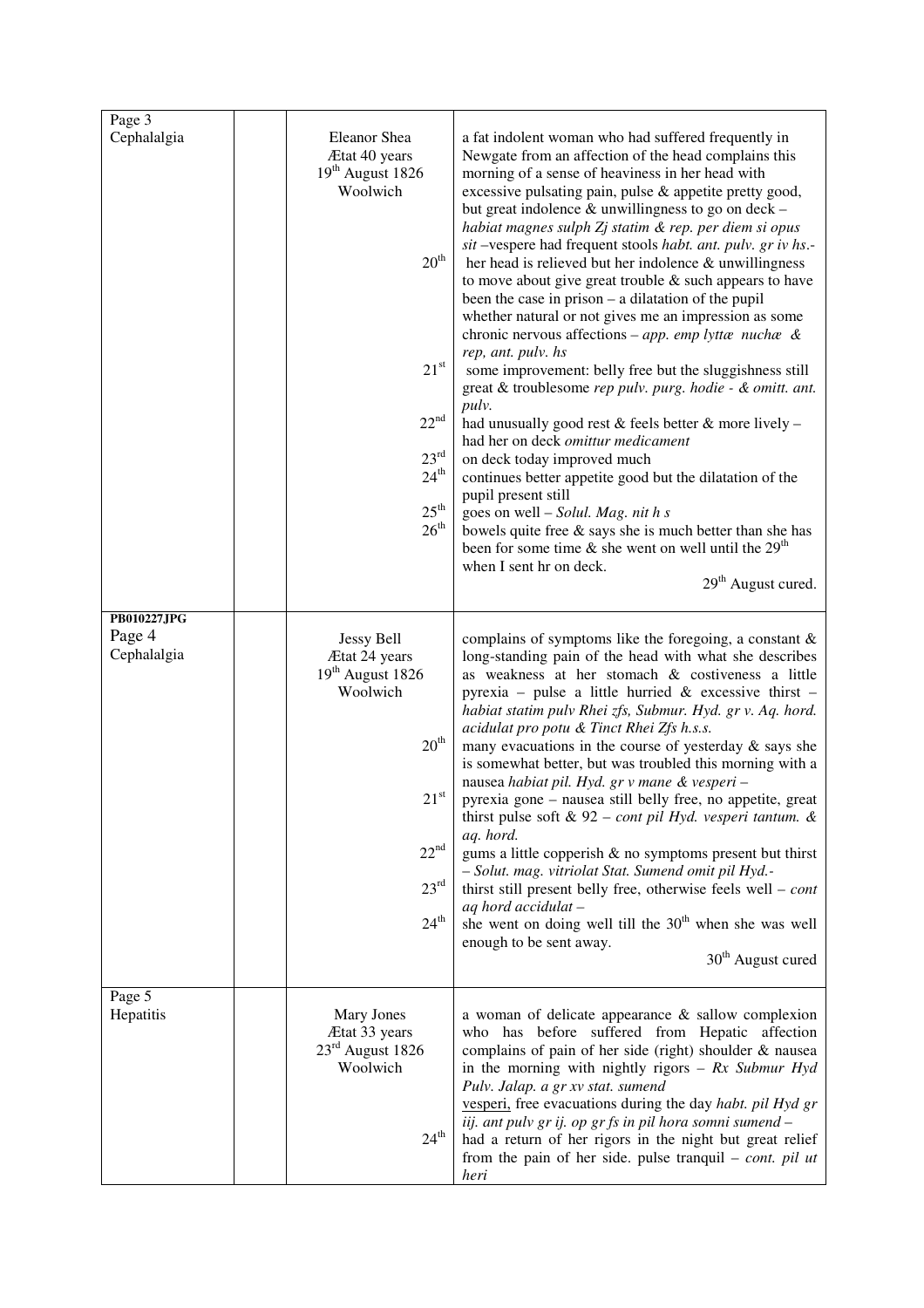| Page 3<br>Cephalalgia                | Eleanor Shea<br>Ætat 40 years<br>$19th$ August 1826<br>Woolwich<br>20 <sup>th</sup><br>$21^{\rm st}$<br>$22^{nd}$<br>$23^{\text{rd}}$<br>24 <sup>th</sup><br>$25^{\rm th}$<br>26 <sup>th</sup> | a fat indolent woman who had suffered frequently in<br>Newgate from an affection of the head complains this<br>morning of a sense of heaviness in her head with<br>excessive pulsating pain, pulse & appetite pretty good,<br>but great indolence & unwillingness to go on deck –<br>habiat magnes sulph Zj statim & rep. per diem si opus<br>sit -vespere had frequent stools habt. ant. pulv. gr iv hs.-<br>her head is relieved but her indolence $\&$ unwillingness<br>to move about give great trouble $\&$ such appears to have<br>been the case in prison $-$ a dilatation of the pupil<br>whether natural or not gives me an impression as some<br>chronic nervous affections – app. emp lyttænuchæ &<br>rep, ant. pulv. hs<br>some improvement: belly free but the sluggishness still<br>great & troublesome rep pulv. purg. hodie - & omitt. ant.<br>pulv.<br>had unusually good rest & feels better & more lively -<br>had her on deck omittur medicament<br>on deck today improved much<br>continues better appetite good but the dilatation of the<br>pupil present still<br>goes on well - Solul. Mag. nit h s<br>bowels quite free $\&$ says she is much better than she has<br>been for some time $\&$ she went on well until the 29 <sup>th</sup><br>when I sent hr on deck.<br>29 <sup>th</sup> August cured. |
|--------------------------------------|------------------------------------------------------------------------------------------------------------------------------------------------------------------------------------------------|---------------------------------------------------------------------------------------------------------------------------------------------------------------------------------------------------------------------------------------------------------------------------------------------------------------------------------------------------------------------------------------------------------------------------------------------------------------------------------------------------------------------------------------------------------------------------------------------------------------------------------------------------------------------------------------------------------------------------------------------------------------------------------------------------------------------------------------------------------------------------------------------------------------------------------------------------------------------------------------------------------------------------------------------------------------------------------------------------------------------------------------------------------------------------------------------------------------------------------------------------------------------------------------------------------------------------------|
| PB010227JPG<br>Page 4<br>Cephalalgia | <b>Jessy Bell</b><br>Ætat 24 years<br>19 <sup>th</sup> August 1826<br>Woolwich<br>$20^{\rm th}$<br>$21^{\rm st}$<br>$22^{nd}$<br>23 <sup>rd</sup><br>$24^{\rm th}$                             | complains of symptoms like the foregoing, a constant $\&$<br>long-standing pain of the head with what she describes<br>as weakness at her stomach & costiveness a little<br>pyrexia – pulse a little hurried $\&$ excessive thirst –<br>habiat statim pulv Rhei zfs, Submur. Hyd. gr v. Aq. hord.<br>acidulat pro potu & Tinct Rhei Zfs h.s.s.<br>many evacuations in the course of yesterday $\&$ says she<br>is somewhat better, but was troubled this morning with a<br>nausea habiat pil. Hyd. gr v mane & vesperi -<br>pyrexia gone - nausea still belly free, no appetite, great<br>thirst pulse soft & 92 – cont pil Hyd. vesperi tantum. $\&$<br>aq. hord.<br>gums a little copperish & no symptoms present but thirst<br>- Solut. mag. vitriolat Stat. Sumend omit pil Hyd.-<br>thirst still present belly free, otherwise feels well – $cont$<br>aq hord accidulat -<br>she went on doing well till the $30th$ when she was well<br>enough to be sent away.<br>30 <sup>th</sup> August cured                                                                                                                                                                                                                                                                                                                          |
| Page 5<br>Hepatitis                  | Mary Jones<br>Ætat 33 years<br>$23rd$ August 1826<br>Woolwich<br>$24^{\text{th}}$                                                                                                              | a woman of delicate appearance & sallow complexion<br>who has before suffered from Hepatic affection<br>complains of pain of her side (right) shoulder & nausea<br>in the morning with nightly rigors $- Rx$ Submur Hyd<br>Pulv. Jalap. a gr xv stat. sumend<br>vesperi, free evacuations during the day habt. pil Hyd gr<br>iij. ant pulv gr ij. op gr fs in pil hora somni sumend -<br>had a return of her rigors in the night but great relief<br>from the pain of her side. pulse tranquil $-$ cont. pil ut<br>heri                                                                                                                                                                                                                                                                                                                                                                                                                                                                                                                                                                                                                                                                                                                                                                                                         |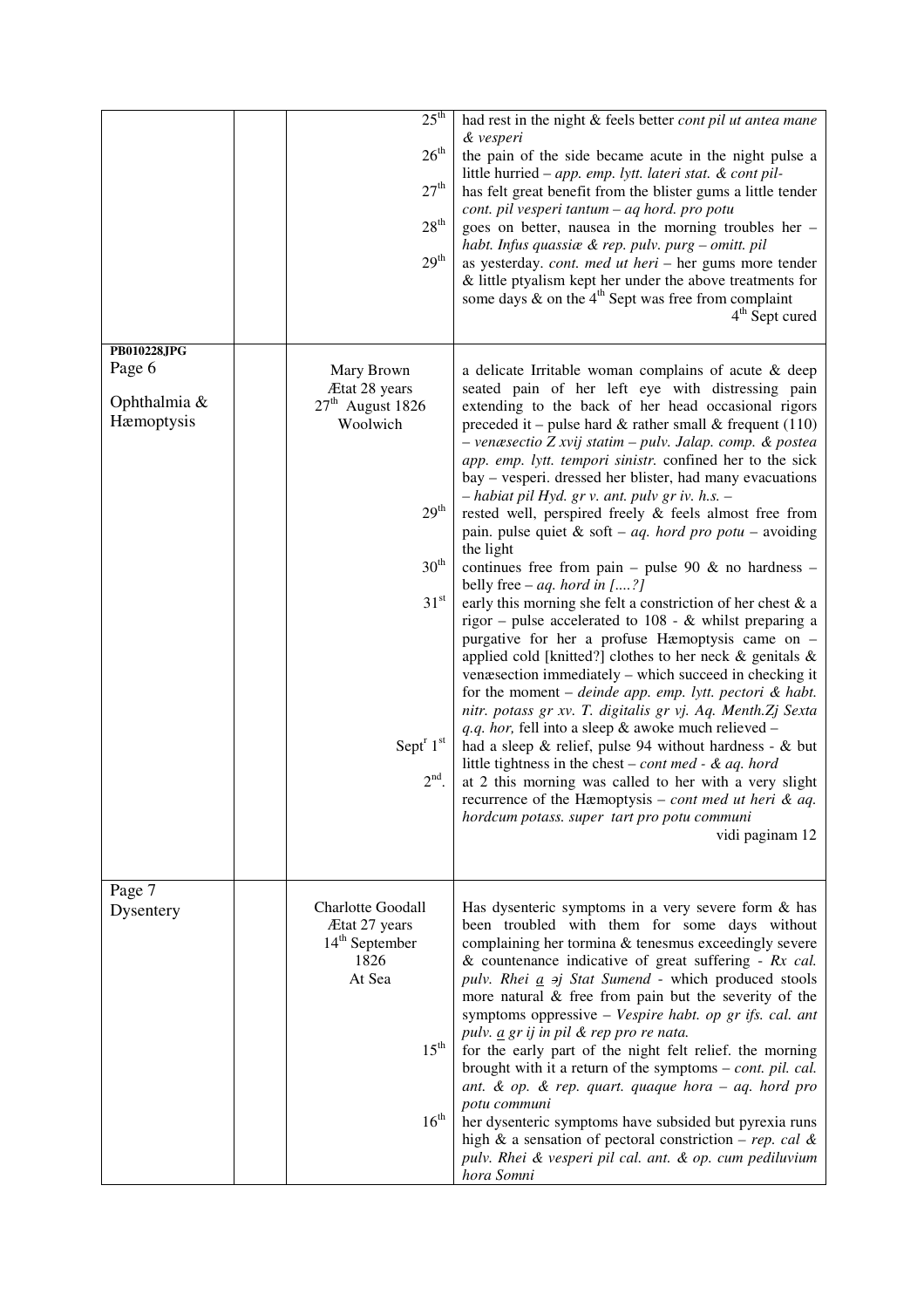|                                                     | 25 <sup>th</sup><br>26 <sup>th</sup><br>27 <sup>th</sup><br>$28^{\rm th}$<br>$29^{\rm th}$                                                              | had rest in the night & feels better cont pil ut antea mane<br>& vesperi<br>the pain of the side became acute in the night pulse a<br>little hurried - app. emp. lytt. lateri stat. & cont pil-<br>has felt great benefit from the blister gums a little tender<br>cont. pil vesperi tantum – aq hord. pro potu<br>goes on better, nausea in the morning troubles her -<br>habt. Infus quassiæ & rep. pulv. purg – omitt. pil<br>as yesterday. cont. med ut heri - her gums more tender<br>& little ptyalism kept her under the above treatments for<br>some days $\&$ on the 4 <sup>th</sup> Sept was free from complaint<br>$4th$ Sept cured                                                                                                                                                                                                                                                                                                                                                                                                                                                                                                                                                                                                                                                                                                                                                                                                                                                                                                                            |
|-----------------------------------------------------|---------------------------------------------------------------------------------------------------------------------------------------------------------|---------------------------------------------------------------------------------------------------------------------------------------------------------------------------------------------------------------------------------------------------------------------------------------------------------------------------------------------------------------------------------------------------------------------------------------------------------------------------------------------------------------------------------------------------------------------------------------------------------------------------------------------------------------------------------------------------------------------------------------------------------------------------------------------------------------------------------------------------------------------------------------------------------------------------------------------------------------------------------------------------------------------------------------------------------------------------------------------------------------------------------------------------------------------------------------------------------------------------------------------------------------------------------------------------------------------------------------------------------------------------------------------------------------------------------------------------------------------------------------------------------------------------------------------------------------------------|
| PB010228JPG<br>Page 6<br>Ophthalmia &<br>Hæmoptysis | Mary Brown<br>Ætat 28 years<br>$27th$ August 1826<br>Woolwich<br>$29^{\rm th}$<br>$30^{\rm th}$<br>31 <sup>st</sup><br>Sept <sup>r</sup> 1st<br>$2nd$ . | a delicate Irritable woman complains of acute & deep<br>seated pain of her left eye with distressing pain<br>extending to the back of her head occasional rigors<br>preceded it – pulse hard $\&$ rather small $\&$ frequent (110)<br>- venæsectio Z xvij statim - pulv. Jalap. comp. & postea<br>app. emp. lytt. tempori sinistr. confined her to the sick<br>bay – vesperi. dressed her blister, had many evacuations<br>$-$ habiat pil Hyd. gr v. ant. pulv gr iv. h.s. $-$<br>rested well, perspired freely & feels almost free from<br>pain. pulse quiet & soft – <i>aq. hord pro potu</i> – avoiding<br>the light<br>continues free from pain – pulse 90 $\&$ no hardness –<br>belly free – <i>aq.</i> hord in $[?]$<br>early this morning she felt a constriction of her chest & a<br>rigor – pulse accelerated to $108 - \&$ whilst preparing a<br>purgative for her a profuse Hæmoptysis came on -<br>applied cold [knitted?] clothes to her neck $\&$ genitals $\&$<br>venæsection immediately – which succeed in checking it<br>for the moment $-$ <i>deinde app. emp. lytt. pectori</i> $\&$ <i>habt.</i><br>nitr. potass gr xv. T. digitalis gr vj. Aq. Menth. Zj Sexta<br>q.q. hor, fell into a sleep & awoke much relieved -<br>had a sleep $\&$ relief, pulse 94 without hardness - $\&$ but<br>little tightness in the chest – cont med - & aq. hord<br>at 2 this morning was called to her with a very slight<br>recurrence of the Hæmoptysis – <i>cont med ut heri</i> & <i>aq</i> .<br>hordcum potass. super tart pro potu communi<br>vidi paginam 12 |
| Page 7<br>Dysentery                                 | Charlotte Goodall<br>Ætat 27 years<br>$14th$ September<br>1826<br>At Sea<br>$15^{\rm th}$<br>16 <sup>th</sup>                                           | Has dysenteric symptoms in a very severe form $\&$ has<br>been troubled with them for some days without<br>complaining her tormina & tenesmus exceedingly severe<br>& countenance indicative of great suffering - $Rx$ cal.<br>pulv. Rhei $a$ $\Rightarrow$ Stat Sumend - which produced stools<br>more natural $\&$ free from pain but the severity of the<br>symptoms oppressive - Vespire habt. op gr ifs. cal. ant<br>pulv. <i>a gr ij in pil &amp; rep pro re nata</i> .<br>for the early part of the night felt relief. the morning<br>brought with it a return of the symptoms - cont. pil. cal.<br>ant. & op. & rep. quart. quaque hora $-$ aq. hord pro<br>potu communi<br>her dysenteric symptoms have subsided but pyrexia runs<br>high & a sensation of pectoral constriction – rep. cal &<br>pulv. Rhei & vesperi pil cal. ant. & op. cum pediluvium<br>hora Somni                                                                                                                                                                                                                                                                                                                                                                                                                                                                                                                                                                                                                                                                                           |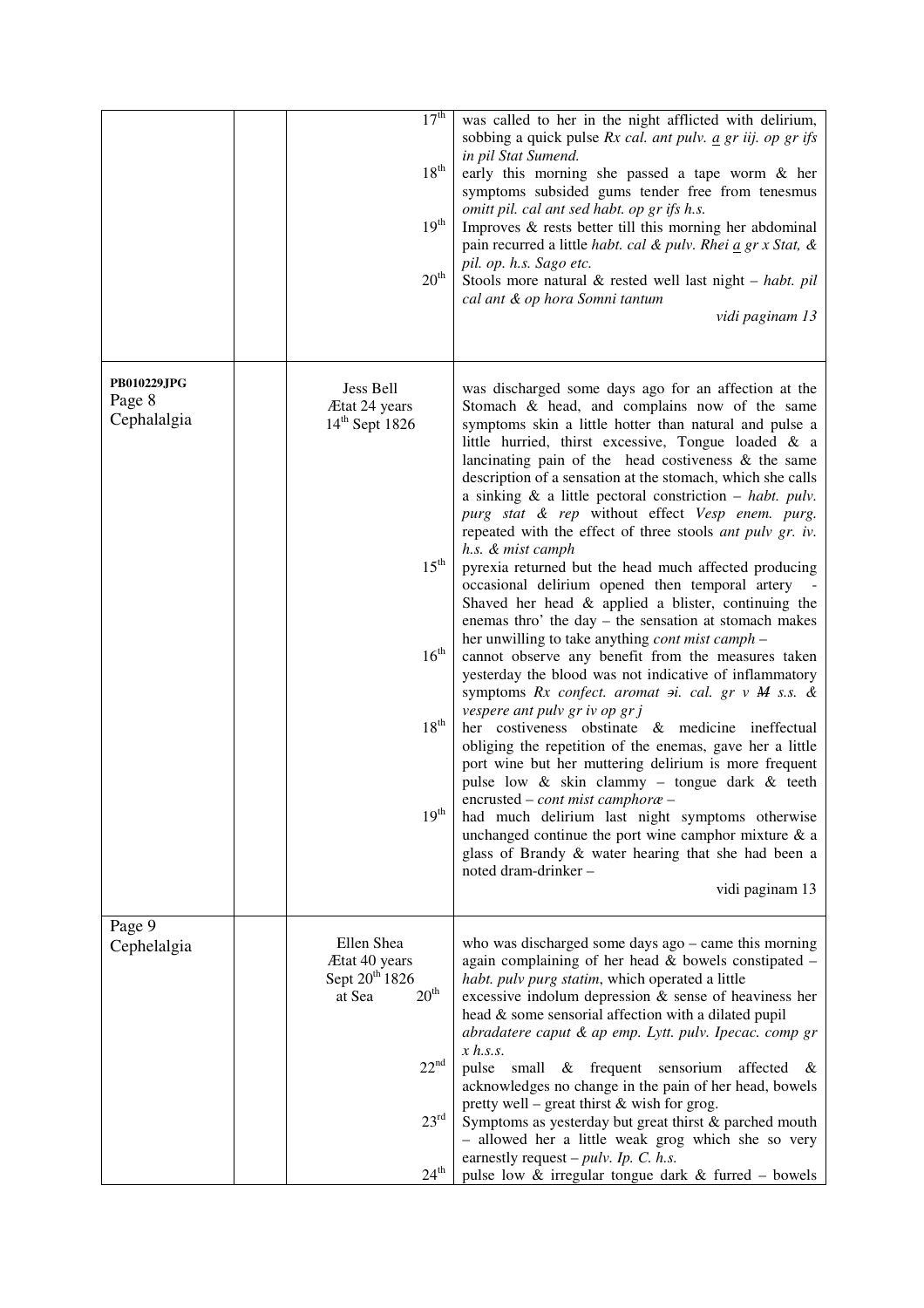|                                             | 17 <sup>th</sup><br>$18^{th}$<br>$19^{\rm th}$<br>20 <sup>th</sup>                                                                     | was called to her in the night afflicted with delirium,<br>sobbing a quick pulse $Rx$ cal. ant pulv. $\underline{a}$ gr iij. op gr ifs<br>in pil Stat Sumend.<br>early this morning she passed a tape worm & her<br>symptoms subsided gums tender free from tenesmus<br>omitt pil. cal ant sed habt. op gr ifs h.s.<br>Improves $\&$ rests better till this morning her abdominal<br>pain recurred a little <i>habt. cal &amp; pulv. Rhei a gr x Stat, &amp;</i><br>pil. op. h.s. Sago etc.<br>Stools more natural $\&$ rested well last night - habt. pil<br>cal ant & op hora Somni tantum<br>vidi paginam 13                                                                                                                                                                                                                                                                                                                                                                                                                                                                                                                                                                                                                                                                                                                                                                                                                                                                                                                               |
|---------------------------------------------|----------------------------------------------------------------------------------------------------------------------------------------|-----------------------------------------------------------------------------------------------------------------------------------------------------------------------------------------------------------------------------------------------------------------------------------------------------------------------------------------------------------------------------------------------------------------------------------------------------------------------------------------------------------------------------------------------------------------------------------------------------------------------------------------------------------------------------------------------------------------------------------------------------------------------------------------------------------------------------------------------------------------------------------------------------------------------------------------------------------------------------------------------------------------------------------------------------------------------------------------------------------------------------------------------------------------------------------------------------------------------------------------------------------------------------------------------------------------------------------------------------------------------------------------------------------------------------------------------------------------------------------------------------------------------------------------------|
| <b>PB010229JPG</b><br>Page 8<br>Cephalalgia | Jess Bell<br>Ætat 24 years<br>$14th$ Sept 1826<br>$15^{\rm th}$<br>$16^{\text{th}}$<br>$18^{\rm th}$<br>19 <sup>th</sup>               | was discharged some days ago for an affection at the<br>Stomach & head, and complains now of the same<br>symptoms skin a little hotter than natural and pulse a<br>little hurried, thirst excessive, Tongue loaded & a<br>lancinating pain of the head costiveness $\&$ the same<br>description of a sensation at the stomach, which she calls<br>a sinking $\&$ a little pectoral constriction – habt. pulv.<br>purg stat & rep without effect Vesp enem. purg.<br>repeated with the effect of three stools ant pulv gr. iv.<br>h.s. & mist camph<br>pyrexia returned but the head much affected producing<br>occasional delirium opened then temporal artery<br>Shaved her head $\&$ applied a blister, continuing the<br>enemas thro' the day - the sensation at stomach makes<br>her unwilling to take anything <i>cont mist camph</i> –<br>cannot observe any benefit from the measures taken<br>yesterday the blood was not indicative of inflammatory<br>symptoms Rx confect. aromat $\pi$ i. cal. gr v M s.s. &<br>vespere ant pulv gr iv op gr j<br>her costiveness obstinate & medicine ineffectual<br>obliging the repetition of the enemas, gave her a little<br>port wine but her muttering delirium is more frequent<br>pulse low & skin clammy - tongue dark & teeth<br>encrusted – <i>cont mist camphore</i> –<br>had much delirium last night symptoms otherwise<br>unchanged continue the port wine camphor mixture $\&$ a<br>glass of Brandy & water hearing that she had been a<br>noted dram-drinker-<br>vidi paginam 13 |
| Page 9<br>Cephelalgia                       | Ellen Shea<br>Ætat 40 years<br>Sept 20 <sup>th</sup> 1826<br>20 <sup>th</sup><br>at Sea<br>$22^{nd}$<br>$23^{\rm rd}$<br>$24^{\rm th}$ | who was discharged some days $ago - came$ this morning<br>again complaining of her head $&$ bowels constipated $-$<br>habt. pulv purg statim, which operated a little<br>excessive indolum depression $\&$ sense of heaviness her<br>head & some sensorial affection with a dilated pupil<br>abradatere caput & ap emp. Lytt. pulv. Ipecac. comp gr<br>$x$ h.s.s.<br>pulse<br>small & frequent sensorium<br>affected<br>&<br>acknowledges no change in the pain of her head, bowels<br>pretty well – great thirst $&$ wish for grog.<br>Symptoms as yesterday but great thirst & parched mouth<br>- allowed her a little weak grog which she so very<br>earnestly request $-pulv$ . Ip. C. h.s.<br>pulse low & irregular tongue dark & furred - bowels                                                                                                                                                                                                                                                                                                                                                                                                                                                                                                                                                                                                                                                                                                                                                                                        |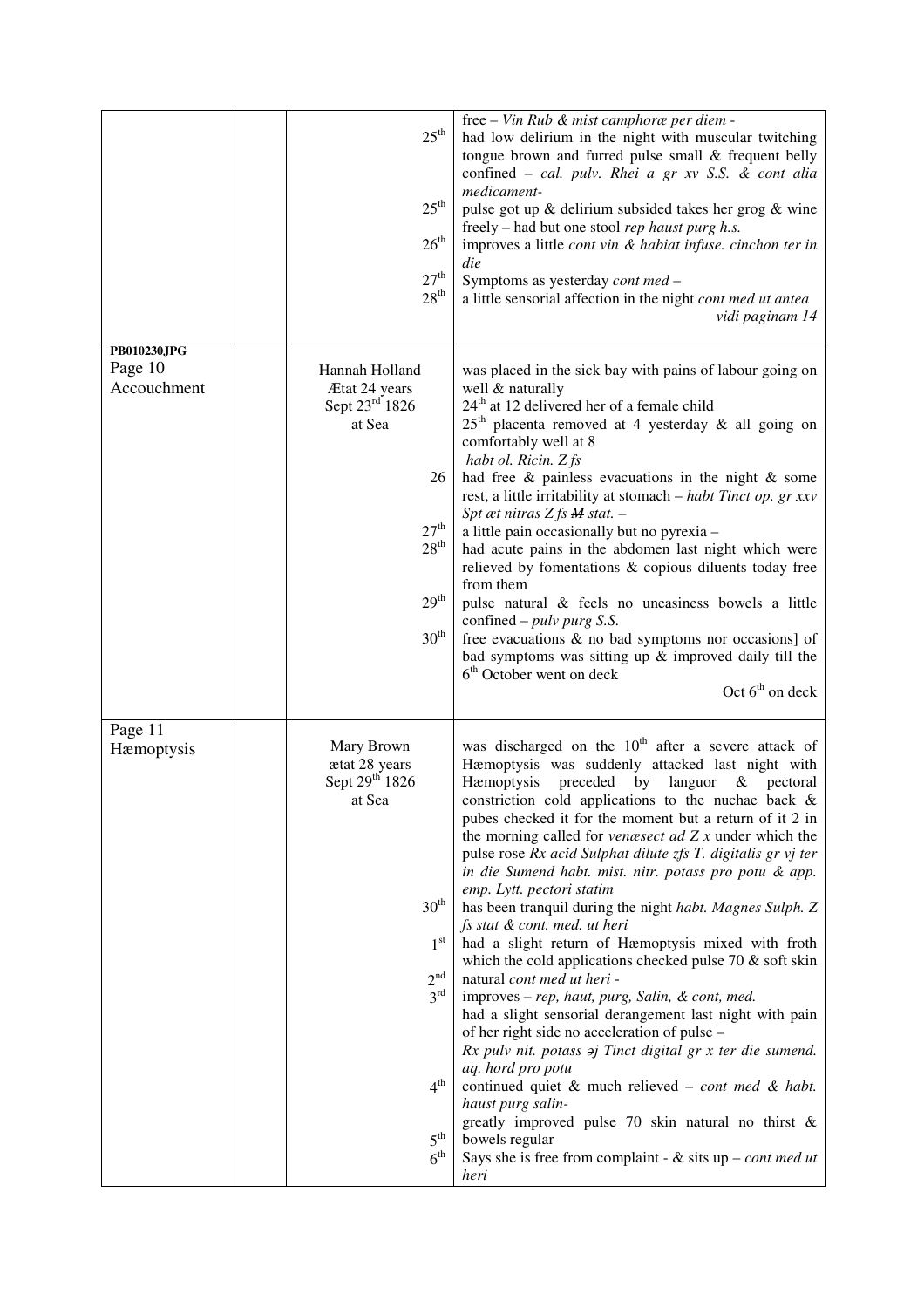|                                       | $25^{\text{th}}$<br>$25^{\rm th}$<br>$26^{\text{th}}$<br>27 <sup>th</sup><br>28 <sup>th</sup>                                                                                                          | free – Vin Rub & mist camphoræ per diem -<br>had low delirium in the night with muscular twitching<br>tongue brown and furred pulse small & frequent belly<br>confined - cal. pulv. Rhei a gr xv S.S. & cont alia<br>medicament-<br>pulse got up & delirium subsided takes her grog & wine<br>freely – had but one stool rep haust purg h.s.<br>improves a little cont vin & habiat infuse. cinchon ter in<br>die<br>Symptoms as yesterday cont med -<br>a little sensorial affection in the night cont med ut antea<br>vidi paginam 14                                                                                                                                                                                                                                                                                                                                                                                                                                                                                                                                                                                                                                                                                                                           |
|---------------------------------------|--------------------------------------------------------------------------------------------------------------------------------------------------------------------------------------------------------|-------------------------------------------------------------------------------------------------------------------------------------------------------------------------------------------------------------------------------------------------------------------------------------------------------------------------------------------------------------------------------------------------------------------------------------------------------------------------------------------------------------------------------------------------------------------------------------------------------------------------------------------------------------------------------------------------------------------------------------------------------------------------------------------------------------------------------------------------------------------------------------------------------------------------------------------------------------------------------------------------------------------------------------------------------------------------------------------------------------------------------------------------------------------------------------------------------------------------------------------------------------------|
| PB010230JPG<br>Page 10<br>Accouchment | Hannah Holland<br>Ætat 24 years<br>Sept 23rd 1826<br>at Sea<br>26<br>27 <sup>th</sup><br>28 <sup>th</sup><br>$29^{\rm th}$<br>30 <sup>th</sup>                                                         | was placed in the sick bay with pains of labour going on<br>well & naturally<br>$24th$ at 12 delivered her of a female child<br>$25th$ placenta removed at 4 yesterday & all going on<br>comfortably well at 8<br>habt ol. Ricin. Z fs<br>had free $\&$ painless evacuations in the night $\&$ some<br>rest, a little irritability at stomach - habt Tinct op. gr xxv<br>Spt æt nitras $Z$ fs $M$ stat. $-$<br>a little pain occasionally but no pyrexia -<br>had acute pains in the abdomen last night which were<br>relieved by fomentations & copious diluents today free<br>from them<br>pulse natural & feels no uneasiness bowels a little<br>confined – $pulv purg S.S.$<br>free evacuations & no bad symptoms nor occasions] of<br>bad symptoms was sitting up $\&$ improved daily till the<br>6 <sup>th</sup> October went on deck<br>Oct $6th$ on deck                                                                                                                                                                                                                                                                                                                                                                                                  |
| Page 11<br>Hæmoptysis                 | Mary Brown<br>ætat 28 years<br>Sept 29 <sup>th</sup> 1826<br>at Sea<br>30 <sup>th</sup><br>1 <sup>st</sup><br>2 <sup>nd</sup><br>$3^{\rm rd}$<br>4 <sup>th</sup><br>$5^{\text{th}}$<br>6 <sup>th</sup> | was discharged on the $10th$ after a severe attack of<br>Hæmoptysis was suddenly attacked last night with<br>preceded by languor<br>Hæmoptysis<br>$&$ pectoral<br>constriction cold applications to the nuchae back &<br>pubes checked it for the moment but a return of it 2 in<br>the morning called for <i>venæsect ad</i> $Zx$ under which the<br>pulse rose Rx acid Sulphat dilute zfs T. digitalis gr vj ter<br>in die Sumend habt. mist. nitr. potass pro potu & app.<br>emp. Lytt. pectori statim<br>has been tranquil during the night habt. Magnes Sulph. Z<br>fs stat & cont. med. ut heri<br>had a slight return of Hæmoptysis mixed with froth<br>which the cold applications checked pulse 70 $\&$ soft skin<br>natural cont med ut heri -<br>improves - rep, haut, purg, Salin, & cont, med.<br>had a slight sensorial derangement last night with pain<br>of her right side no acceleration of pulse -<br>$Rx$ pulv nit. potass $\Rightarrow$ j Tinct digital gr x ter die sumend.<br>aq. hord pro potu<br>continued quiet $\&$ much relieved – cont med $\&$ habt.<br>haust purg salin-<br>greatly improved pulse 70 skin natural no thirst $\&$<br>bowels regular<br>Says she is free from complaint - & sits $up$ - <i>cont med ut</i><br>heri |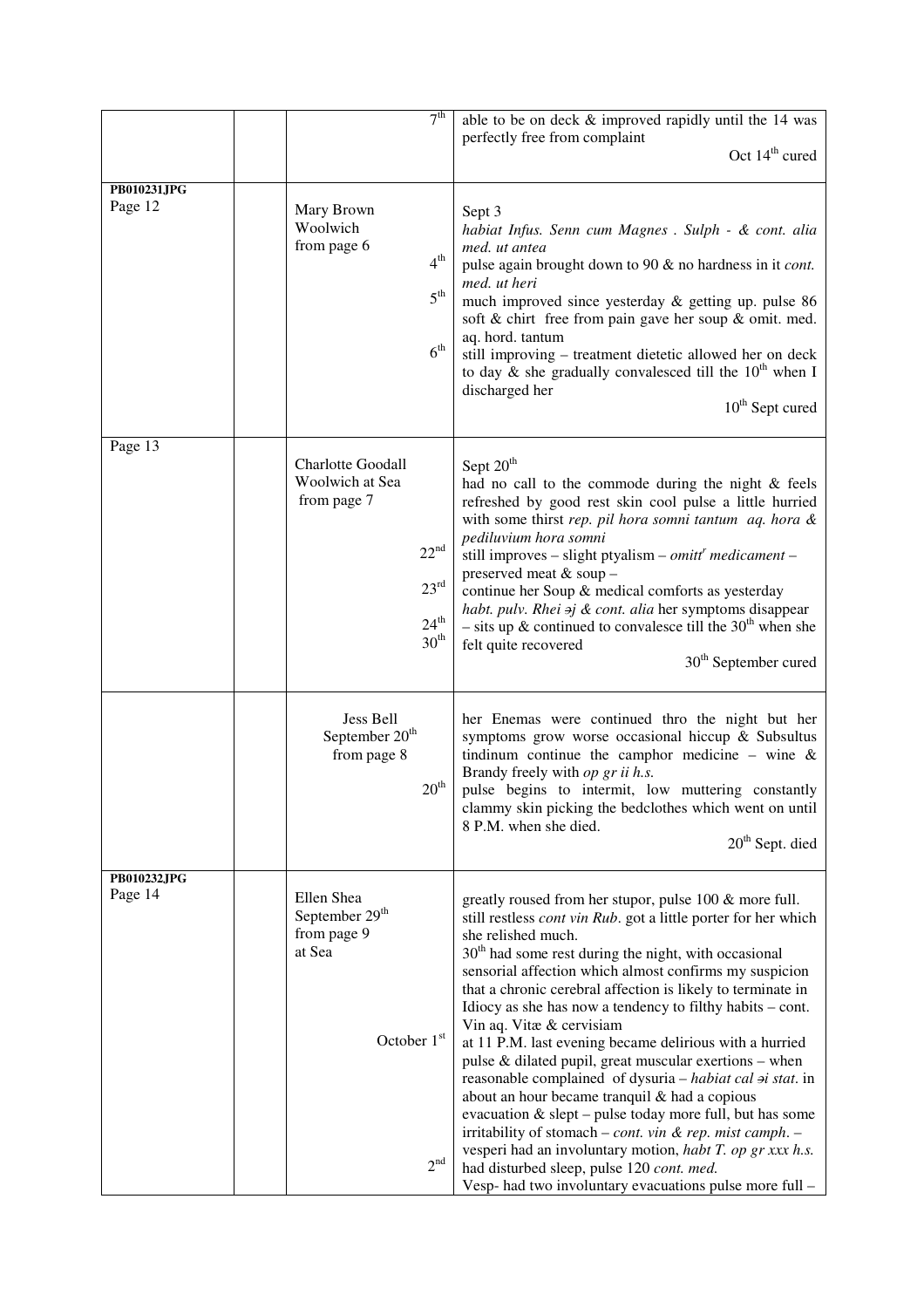|                               | 7 <sup>th</sup>                                                                                                                   | able to be on deck & improved rapidly until the 14 was<br>perfectly free from complaint<br>Oct $14th$ cured                                                                                                                                                                                                                                                                                                                                                                                                                                                                                                                                                                                                                                                                                                                                                                                                                                                               |
|-------------------------------|-----------------------------------------------------------------------------------------------------------------------------------|---------------------------------------------------------------------------------------------------------------------------------------------------------------------------------------------------------------------------------------------------------------------------------------------------------------------------------------------------------------------------------------------------------------------------------------------------------------------------------------------------------------------------------------------------------------------------------------------------------------------------------------------------------------------------------------------------------------------------------------------------------------------------------------------------------------------------------------------------------------------------------------------------------------------------------------------------------------------------|
| PB010231JPG<br>Page 12        | Mary Brown<br>Woolwich<br>from page 6<br>4 <sup>th</sup><br>5 <sup>th</sup><br>6 <sup>th</sup>                                    | Sept 3<br>habiat Infus. Senn cum Magnes . Sulph - & cont. alia<br>med. ut antea<br>pulse again brought down to 90 & no hardness in it cont.<br>med. ut heri<br>much improved since yesterday & getting up. pulse 86<br>soft & chirt free from pain gave her soup & omit. med.<br>aq. hord. tantum<br>still improving - treatment dietetic allowed her on deck<br>to day & she gradually convalesced till the $10^{th}$ when I<br>discharged her<br>$10th$ Sept cured                                                                                                                                                                                                                                                                                                                                                                                                                                                                                                      |
| Page $1\overline{3}$          | <b>Charlotte Goodall</b><br>Woolwich at Sea<br>from page 7<br>$22^{\rm nd}$<br>$23^{\rm rd}$<br>$24^{\text{th}}$<br>$30^{\rm th}$ | Sept 20 <sup>th</sup><br>had no call to the commode during the night & feels<br>refreshed by good rest skin cool pulse a little hurried<br>with some thirst rep. pil hora somni tantum aq. hora &<br>pediluvium hora somni<br>still improves – slight ptyalism – <i>omitt<sup>r</sup></i> medicament –<br>preserved meat & soup -<br>continue her Soup & medical comforts as yesterday<br>habt. pulv. Rhei aj & cont. alia her symptoms disappear<br>- sits up & continued to convalesce till the $30th$ when she<br>felt quite recovered<br>30 <sup>th</sup> September cured                                                                                                                                                                                                                                                                                                                                                                                             |
|                               | Jess Bell<br>September 20 <sup>th</sup><br>from page 8<br>$20^{\rm th}$                                                           | her Enemas were continued thro the night but her<br>symptoms grow worse occasional hiccup & Subsultus<br>tindinum continue the camphor medicine – wine $\&$<br>Brandy freely with op gr ii h.s.<br>pulse begins to intermit, low muttering constantly<br>clammy skin picking the bedclothes which went on until<br>8 P.M. when she died.<br>$20th$ Sept. died                                                                                                                                                                                                                                                                                                                                                                                                                                                                                                                                                                                                             |
| <b>PB010232JPG</b><br>Page 14 | Ellen Shea<br>September 29 <sup>th</sup><br>from page 9<br>at Sea<br>October 1st<br>2 <sup>nd</sup>                               | greatly roused from her stupor, pulse 100 & more full.<br>still restless <i>cont vin Rub</i> . got a little porter for her which<br>she relished much.<br>$30th$ had some rest during the night, with occasional<br>sensorial affection which almost confirms my suspicion<br>that a chronic cerebral affection is likely to terminate in<br>Idiocy as she has now a tendency to filthy habits – cont.<br>Vin aq. Vitæ & cervisiam<br>at 11 P.M. last evening became delirious with a hurried<br>pulse & dilated pupil, great muscular exertions - when<br>reasonable complained of dysuria - habiat cal $\dot{p}$ stat. in<br>about an hour became tranquil & had a copious<br>evacuation & slept – pulse today more full, but has some<br>irritability of stomach - cont. vin & rep. mist camph. -<br>vesperi had an involuntary motion, habt T. op gr xxx h.s.<br>had disturbed sleep, pulse 120 cont. med.<br>Vesp- had two involuntary evacuations pulse more full - |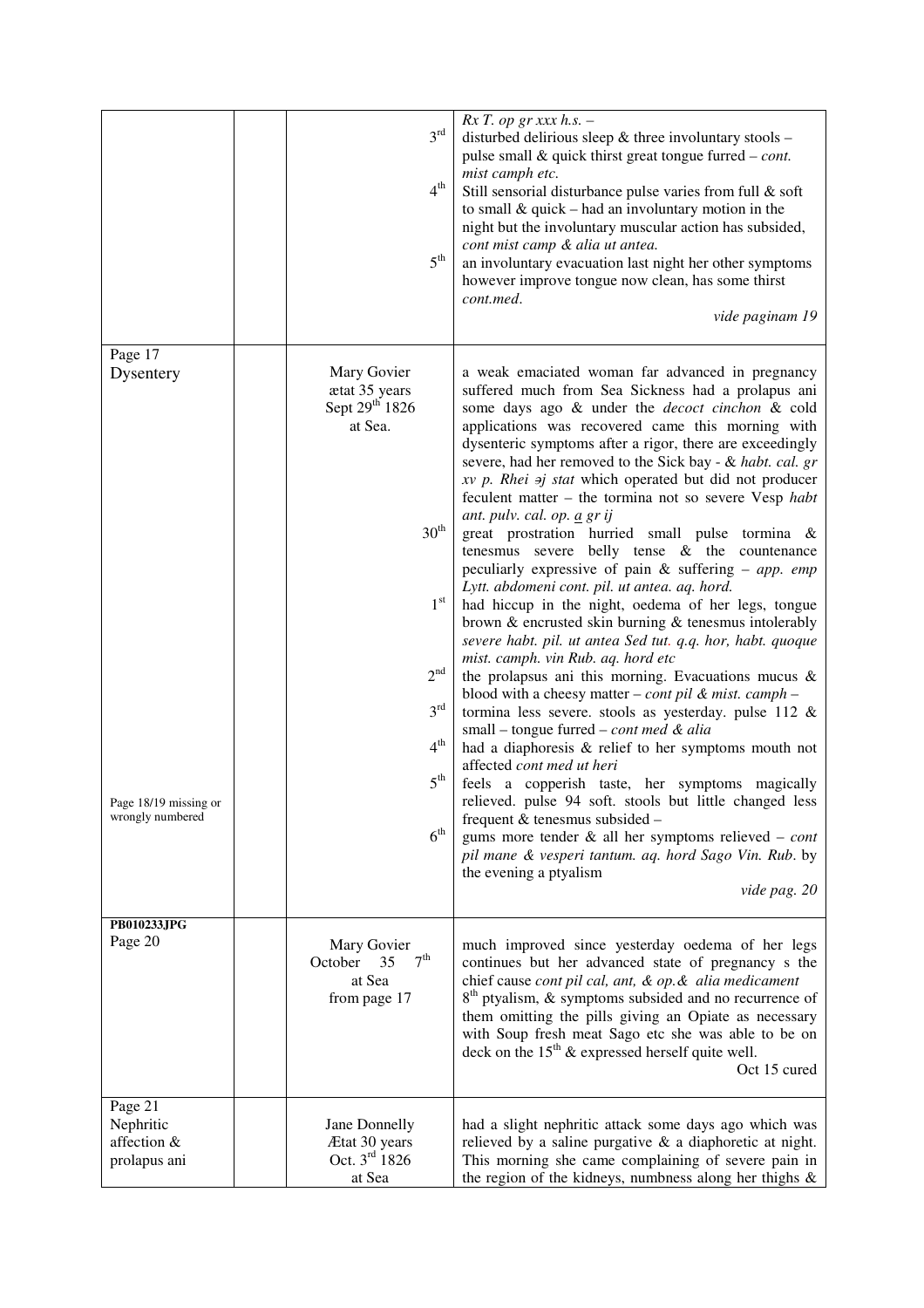|                                                                   | 3 <sup>rd</sup><br>4 <sup>th</sup><br>$5^{\rm th}$                                                                                                                                                       | $Rx T$ . op gr xxx h.s. -<br>disturbed delirious sleep & three involuntary stools -<br>pulse small $\&$ quick thirst great tongue furred – cont.<br>mist camph etc.<br>Still sensorial disturbance pulse varies from full & soft<br>to small $&$ quick – had an involuntary motion in the<br>night but the involuntary muscular action has subsided,<br>cont mist camp & alia ut antea.<br>an involuntary evacuation last night her other symptoms<br>however improve tongue now clean, has some thirst<br>cont.med.<br>vide paginam 19                                                                                                                                                                                                                                                                                                                                                                                                                                                                                                                                                                                                                                                                                                                                                                                                                                                                                                                                                                                                                                                    |
|-------------------------------------------------------------------|----------------------------------------------------------------------------------------------------------------------------------------------------------------------------------------------------------|--------------------------------------------------------------------------------------------------------------------------------------------------------------------------------------------------------------------------------------------------------------------------------------------------------------------------------------------------------------------------------------------------------------------------------------------------------------------------------------------------------------------------------------------------------------------------------------------------------------------------------------------------------------------------------------------------------------------------------------------------------------------------------------------------------------------------------------------------------------------------------------------------------------------------------------------------------------------------------------------------------------------------------------------------------------------------------------------------------------------------------------------------------------------------------------------------------------------------------------------------------------------------------------------------------------------------------------------------------------------------------------------------------------------------------------------------------------------------------------------------------------------------------------------------------------------------------------------|
| Page 17<br>Dysentery<br>Page 18/19 missing or<br>wrongly numbered | Mary Govier<br>ætat 35 years<br>Sept 29 <sup>th</sup> 1826<br>at Sea.<br>30 <sup>th</sup><br>$1^{\rm st}$<br>2 <sup>nd</sup><br>3 <sup>rd</sup><br>$4^{\text{th}}$<br>$5^{\text{th}}$<br>6 <sup>th</sup> | a weak emaciated woman far advanced in pregnancy<br>suffered much from Sea Sickness had a prolapus ani<br>some days ago & under the decoct cinchon & cold<br>applications was recovered came this morning with<br>dysenteric symptoms after a rigor, there are exceedingly<br>severe, had her removed to the Sick bay - & habt. cal. gr<br>$xv$ p. Rhei $\Rightarrow$ j stat which operated but did not producer<br>feculent matter $-$ the tormina not so severe Vesp habt<br>ant. pulv. cal. op. <u>a</u> gr ij<br>great prostration hurried small pulse tormina &<br>tenesmus severe belly tense $\&$ the countenance<br>peculiarly expressive of pain $\&$ suffering – app. emp<br>Lytt. abdomeni cont. pil. ut antea. aq. hord.<br>had hiccup in the night, oedema of her legs, tongue<br>brown $\&$ encrusted skin burning $\&$ tenesmus intolerably<br>severe habt. pil. ut antea Sed tut. q.q. hor, habt. quoque<br>mist. camph. vin Rub. aq. hord etc<br>the prolapsus ani this morning. Evacuations mucus $\&$<br>blood with a cheesy matter – cont pil & mist. camph –<br>tormina less severe. stools as yesterday. pulse 112 $\&$<br>small – tongue furred – cont med & alia<br>had a diaphoresis & relief to her symptoms mouth not<br>affected cont med ut heri<br>feels a copperish taste, her symptoms magically<br>relieved. pulse 94 soft. stools but little changed less<br>frequent & tenesmus subsided -<br>gums more tender $\&$ all her symptoms relieved – cont<br>pil mane & vesperi tantum. aq. hord Sago Vin. Rub. by<br>the evening a ptyalism<br>vide pag. 20 |
| PB010233JPG<br>Page 20                                            | Mary Govier<br>7 <sup>th</sup><br>October<br>35<br>at Sea<br>from page 17                                                                                                                                | much improved since yesterday oedema of her legs<br>continues but her advanced state of pregnancy s the<br>chief cause cont pil cal, ant, & op. & alia medicament<br>$8th$ ptyalism, & symptoms subsided and no recurrence of<br>them omitting the pills giving an Opiate as necessary<br>with Soup fresh meat Sago etc she was able to be on<br>deck on the $15th$ & expressed herself quite well.<br>Oct 15 cured                                                                                                                                                                                                                                                                                                                                                                                                                                                                                                                                                                                                                                                                                                                                                                                                                                                                                                                                                                                                                                                                                                                                                                        |
| Page 21<br>Nephritic<br>affection &<br>prolapus ani               | Jane Donnelly<br>Ætat 30 years<br>Oct. 3rd 1826<br>at Sea                                                                                                                                                | had a slight nephritic attack some days ago which was<br>relieved by a saline purgative $\&$ a diaphoretic at night.<br>This morning she came complaining of severe pain in<br>the region of the kidneys, numbness along her thighs &                                                                                                                                                                                                                                                                                                                                                                                                                                                                                                                                                                                                                                                                                                                                                                                                                                                                                                                                                                                                                                                                                                                                                                                                                                                                                                                                                      |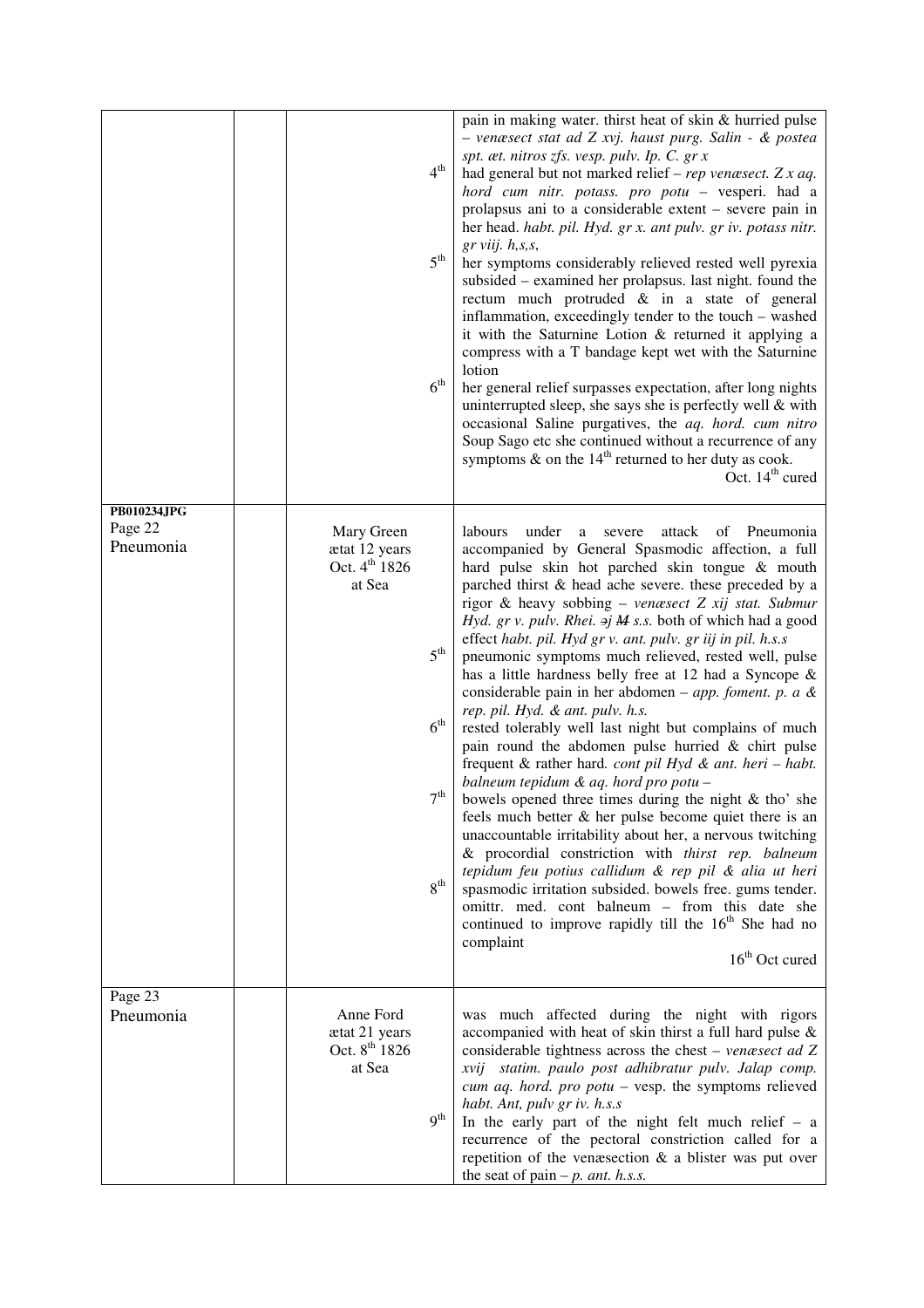|                                     |                                                                    | 4 <sup>th</sup><br>5 <sup>th</sup><br>6 <sup>th</sup>                 | pain in making water. thirst heat of skin & hurried pulse<br>- venæsect stat ad Z xvj. haust purg. Salin - & postea<br>spt. æt. nitros zfs. vesp. pulv. Ip. C. gr x<br>had general but not marked relief – rep venæsect. Z x aq.<br>hord cum nitr. potass. pro potu - vesperi. had a<br>prolapsus ani to a considerable extent – severe pain in<br>her head. habt. pil. Hyd. gr x. ant pulv. gr iv. potass nitr.<br>$gr$ viij. $h$ , s, s,<br>her symptoms considerably relieved rested well pyrexia<br>subsided – examined her prolapsus. last night. found the<br>rectum much protruded & in a state of general<br>inflammation, exceedingly tender to the touch - washed<br>it with the Saturnine Lotion & returned it applying a<br>compress with a T bandage kept wet with the Saturnine<br>lotion<br>her general relief surpasses expectation, after long nights<br>uninterrupted sleep, she says she is perfectly well $&$ with<br>occasional Saline purgatives, the aq. hord. cum nitro<br>Soup Sago etc she continued without a recurrence of any<br>symptoms $\&$ on the 14 <sup>th</sup> returned to her duty as cook.<br>Oct. 14 <sup>th</sup> cured                                                                                                                                                                                                                                     |
|-------------------------------------|--------------------------------------------------------------------|-----------------------------------------------------------------------|------------------------------------------------------------------------------------------------------------------------------------------------------------------------------------------------------------------------------------------------------------------------------------------------------------------------------------------------------------------------------------------------------------------------------------------------------------------------------------------------------------------------------------------------------------------------------------------------------------------------------------------------------------------------------------------------------------------------------------------------------------------------------------------------------------------------------------------------------------------------------------------------------------------------------------------------------------------------------------------------------------------------------------------------------------------------------------------------------------------------------------------------------------------------------------------------------------------------------------------------------------------------------------------------------------------------------------------------------------------------------------------------------|
| PB010234JPG<br>Page 22<br>Pneumonia | Mary Green<br>ætat 12 years<br>Oct. 4 <sup>th</sup> 1826<br>at Sea | 5 <sup>th</sup><br>6 <sup>th</sup><br>$7^{\rm th}$<br>8 <sup>th</sup> | under<br>labours<br>attack<br>of<br>Pneumonia<br>severe<br>a<br>accompanied by General Spasmodic affection, a full<br>hard pulse skin hot parched skin tongue & mouth<br>parched thirst & head ache severe. these preceded by a<br>rigor & heavy sobbing - venæsect Z xij stat. Submur<br>Hyd. gr v. pulv. Rhei. $\sigma j$ M s.s. both of which had a good<br>effect habt. pil. Hyd gr v. ant. pulv. gr iij in pil. h.s.s<br>pneumonic symptoms much relieved, rested well, pulse<br>has a little hardness belly free at 12 had a Syncope &<br>considerable pain in her abdomen – <i>app. foment. p. a &amp;</i><br>rep. pil. Hyd. & ant. pulv. h.s.<br>rested tolerably well last night but complains of much<br>pain round the abdomen pulse hurried $&$ chirt pulse<br>frequent & rather hard. cont pil Hyd & ant. heri - habt.<br>balneum tepidum & aq. hord pro potu -<br>bowels opened three times during the night $\&$ tho' she<br>feels much better $\&$ her pulse become quiet there is an<br>unaccountable irritability about her, a nervous twitching<br>& procordial constriction with thirst rep. balneum<br>tepidum feu potius callidum & rep pil & alia ut heri<br>spasmodic irritation subsided. bowels free. gums tender.<br>omittr. med. cont balneum - from this date she<br>continued to improve rapidly till the 16 <sup>th</sup> She had no<br>complaint<br>$16th$ Oct cured |
| Page $2\overline{3}$<br>Pneumonia   | Anne Ford<br>ætat 21 years<br>Oct. 8 <sup>th</sup> 1826<br>at Sea  | 9 <sup>th</sup>                                                       | was much affected during the night with rigors<br>accompanied with heat of skin thirst a full hard pulse $\&$<br>considerable tightness across the chest - venæsect ad Z<br>xvij statim. paulo post adhibratur pulv. Jalap comp.<br>cum aq. hord. pro $potu$ – vesp. the symptoms relieved<br>habt. Ant, pulv gr iv. h.s.s<br>In the early part of the night felt much relief $- a$<br>recurrence of the pectoral constriction called for a<br>repetition of the venæsection $\&$ a blister was put over<br>the seat of pain $-p$ . ant. h.s.s.                                                                                                                                                                                                                                                                                                                                                                                                                                                                                                                                                                                                                                                                                                                                                                                                                                                      |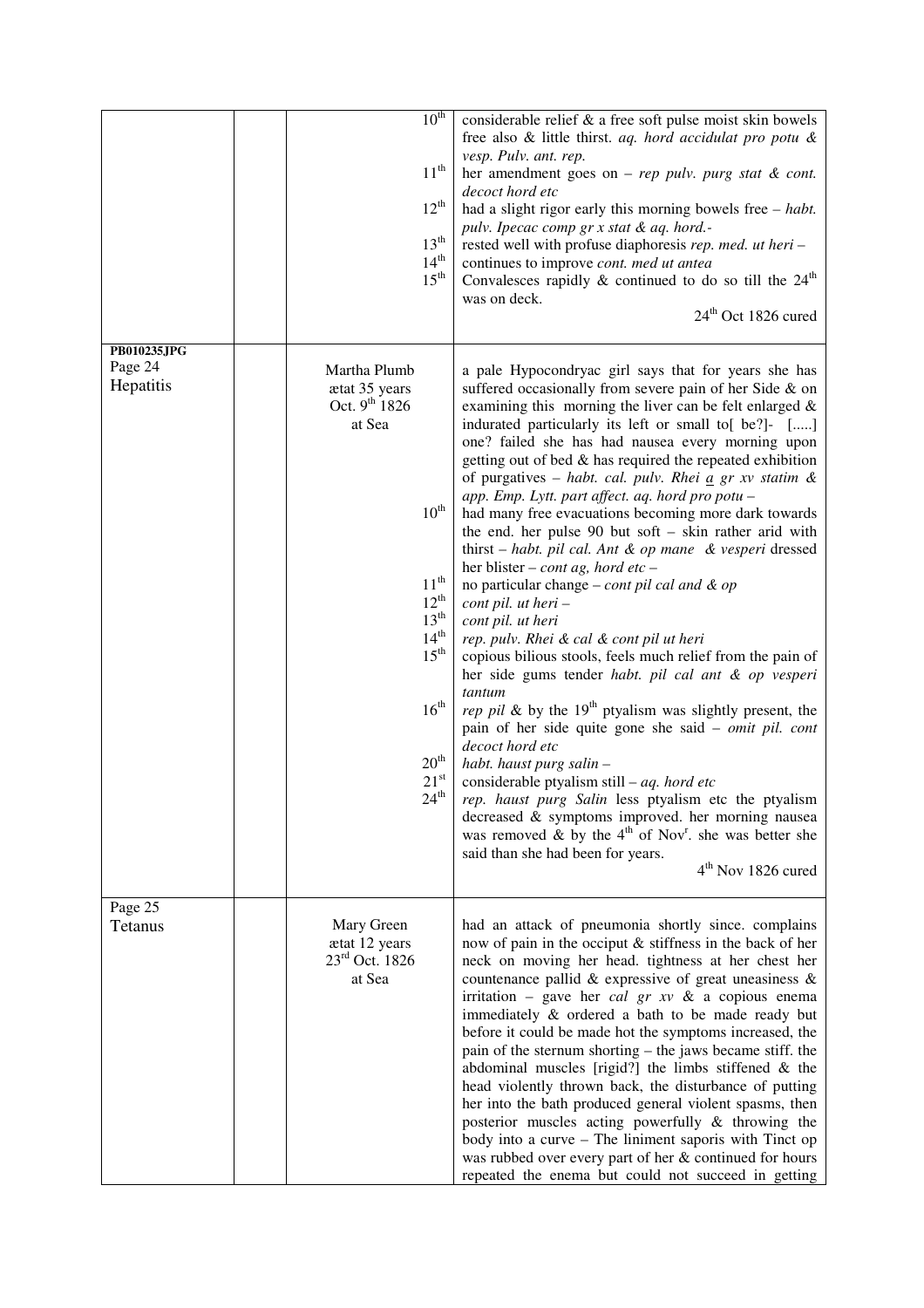|                                     | $10^{th}$<br>$11^{th}$<br>$12^{th}$<br>13 <sup>th</sup><br>$14^{\text{th}}$<br>$15^{\text{th}}$                                                                                                                                               | considerable relief & a free soft pulse moist skin bowels<br>free also & little thirst. aq. hord accidulat pro potu &<br>vesp. Pulv. ant. rep.<br>her amendment goes on - rep pulv. purg stat $\&$ cont.<br>decoct hord etc<br>had a slight rigor early this morning bowels free $-$ habt.<br>pulv. Ipecac comp gr x stat & aq. hord.-<br>rested well with profuse diaphoresis rep. med. ut heri-<br>continues to improve cont. med ut antea<br>Convalences rapidly $\&$ continued to do so till the 24 <sup>th</sup><br>was on deck.<br>24 <sup>th</sup> Oct 1826 cured                                                                                                                                                                                                                                                                                                                                                                                                                                                                                                                                                                                                                                                                                                                                                                                                                                                                                                                    |
|-------------------------------------|-----------------------------------------------------------------------------------------------------------------------------------------------------------------------------------------------------------------------------------------------|---------------------------------------------------------------------------------------------------------------------------------------------------------------------------------------------------------------------------------------------------------------------------------------------------------------------------------------------------------------------------------------------------------------------------------------------------------------------------------------------------------------------------------------------------------------------------------------------------------------------------------------------------------------------------------------------------------------------------------------------------------------------------------------------------------------------------------------------------------------------------------------------------------------------------------------------------------------------------------------------------------------------------------------------------------------------------------------------------------------------------------------------------------------------------------------------------------------------------------------------------------------------------------------------------------------------------------------------------------------------------------------------------------------------------------------------------------------------------------------------|
| PB010235JPG<br>Page 24<br>Hepatitis | Martha Plumb<br>ætat 35 years<br>Oct. $9^{th}$ 1826<br>at Sea<br>$10^{\text{th}}$<br>$11^{th}$<br>$12^{th}$<br>$13^{th}$<br>14 <sup>th</sup><br>$15^{\text{th}}$<br>$16^{\text{th}}$<br>20 <sup>th</sup><br>$21^{\rm st}$<br>$24^{\text{th}}$ | a pale Hypocondryac girl says that for years she has<br>suffered occasionally from severe pain of her Side & on<br>examining this morning the liver can be felt enlarged $\&$<br>indurated particularly its left or small to[ be?]- []<br>one? failed she has had nausea every morning upon<br>getting out of bed $\&$ has required the repeated exhibition<br>of purgatives - habt. cal. pulv. Rhei $\underline{a}$ gr xv statim &<br>app. Emp. Lytt. part affect. aq. hord pro potu -<br>had many free evacuations becoming more dark towards<br>the end. her pulse 90 but soft - skin rather arid with<br>thirst $-$ habt. pil cal. Ant $\&$ op mane $\&$ vesperi dressed<br>her blister – cont ag, hord etc –<br>no particular change – cont pil cal and $\&$ op<br>$cont$ pil. ut heri $-$<br>cont pil. ut heri<br>rep. pulv. Rhei & cal & cont pil ut heri<br>copious bilious stools, feels much relief from the pain of<br>her side gums tender habt. pil cal ant & op vesperi<br>tantum<br>rep pil & by the 19 <sup>th</sup> ptyalism was slightly present, the<br>pain of her side quite gone she said - omit pil. cont<br>decoct hord etc<br>habt. haust purg salin -<br>considerable ptyalism still – $aq$ . hord etc<br>rep. haust purg Salin less ptyalism etc the ptyalism<br>decreased & symptoms improved. her morning nausea<br>was removed & by the $4th$ of Nov <sup>r</sup> . she was better she<br>said than she had been for years.<br>4 <sup>th</sup> Nov 1826 cured |
| Page 25<br>Tetanus                  | Mary Green<br>ætat 12 years<br>23rd Oct. 1826<br>at Sea                                                                                                                                                                                       | had an attack of pneumonia shortly since. complains<br>now of pain in the occiput & stiffness in the back of her<br>neck on moving her head. tightness at her chest her<br>countenance pallid $\&$ expressive of great uneasiness $\&$<br>irritation – gave her <i>cal gr xv &amp;</i> a copious enema<br>immediately & ordered a bath to be made ready but<br>before it could be made hot the symptoms increased, the<br>pain of the sternum shorting – the jaws became stiff. the<br>abdominal muscles [rigid?] the limbs stiffened $\&$ the<br>head violently thrown back, the disturbance of putting<br>her into the bath produced general violent spasms, then<br>posterior muscles acting powerfully & throwing the<br>body into a curve – The liniment saporis with Tinct op<br>was rubbed over every part of her & continued for hours<br>repeated the enema but could not succeed in getting                                                                                                                                                                                                                                                                                                                                                                                                                                                                                                                                                                                       |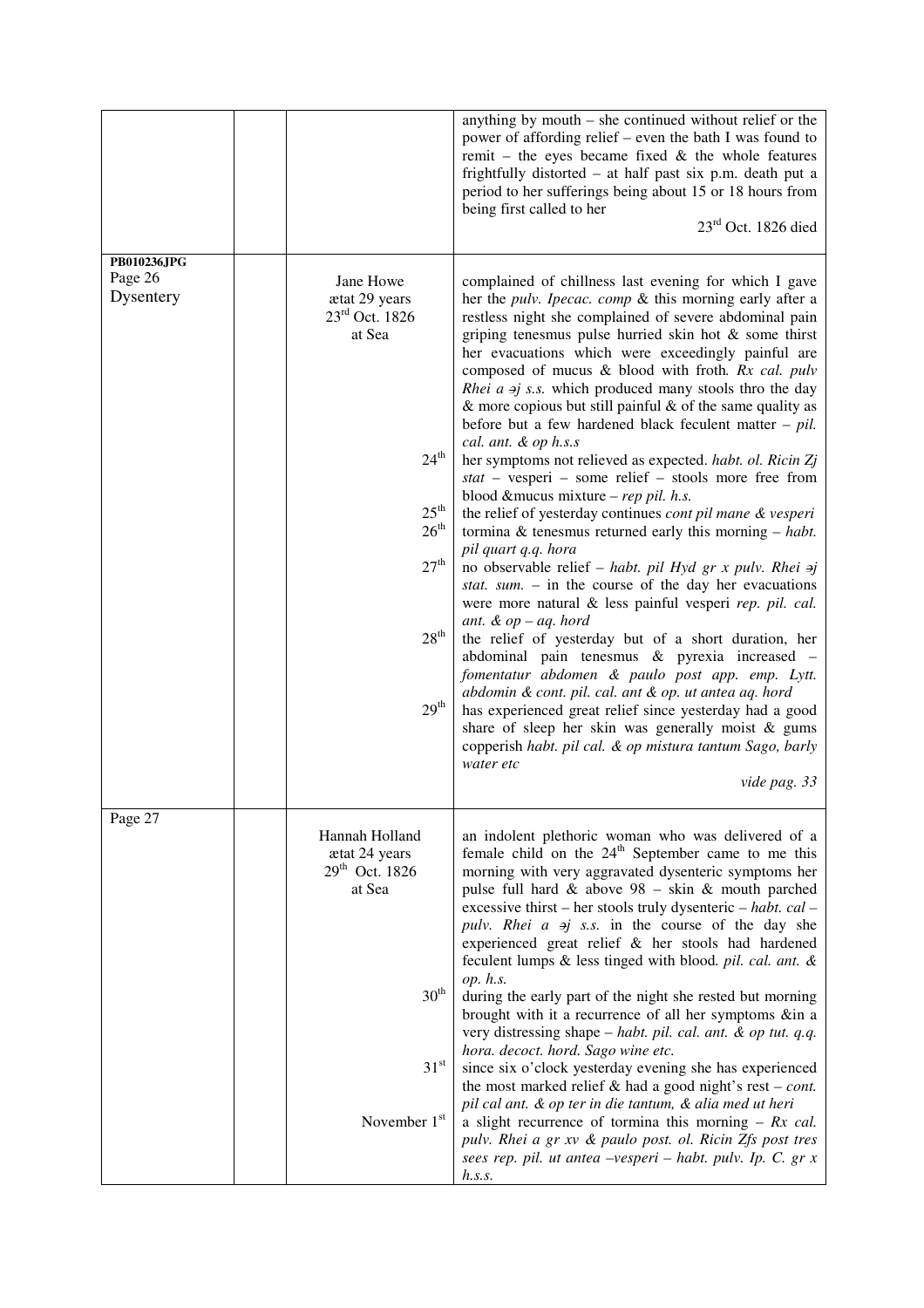|                                     |                                                                                                                                                                                | anything by mouth – she continued without relief or the<br>power of affording relief – even the bath I was found to<br>remit – the eyes became fixed $\&$ the whole features<br>frightfully distorted – at half past six p.m. death put a<br>period to her sufferings being about 15 or 18 hours from<br>being first called to her<br>$23rd$ Oct. 1826 died                                                                                                                                                                                                                                                                                                                                                                                                                                                                                                                                                                                                                                                                                                                                                                                                                                                                                                                                                                                                                                                                                                                                                                                                     |
|-------------------------------------|--------------------------------------------------------------------------------------------------------------------------------------------------------------------------------|-----------------------------------------------------------------------------------------------------------------------------------------------------------------------------------------------------------------------------------------------------------------------------------------------------------------------------------------------------------------------------------------------------------------------------------------------------------------------------------------------------------------------------------------------------------------------------------------------------------------------------------------------------------------------------------------------------------------------------------------------------------------------------------------------------------------------------------------------------------------------------------------------------------------------------------------------------------------------------------------------------------------------------------------------------------------------------------------------------------------------------------------------------------------------------------------------------------------------------------------------------------------------------------------------------------------------------------------------------------------------------------------------------------------------------------------------------------------------------------------------------------------------------------------------------------------|
| PB010236JPG<br>Page 26<br>Dysentery | Jane Howe<br>ætat 29 years<br>23rd Oct. 1826<br>at Sea<br>$24^{\text{th}}$<br>$25^{\text{th}}$<br>26 <sup>th</sup><br>27 <sup>th</sup><br>28 <sup>th</sup><br>29 <sup>th</sup> | complained of chillness last evening for which I gave<br>her the <i>pulv. Ipecac. comp</i> & this morning early after a<br>restless night she complained of severe abdominal pain<br>griping tenesmus pulse hurried skin hot & some thirst<br>her evacuations which were exceedingly painful are<br>composed of mucus & blood with froth. Rx cal. pulv<br><i>Rhei a <math>\pi</math>j s.s.</i> which produced many stools thro the day<br>$\&$ more copious but still painful $\&$ of the same quality as<br>before but a few hardened black feculent matter $-$ pil.<br>cal. ant. & op h.s.s<br>her symptoms not relieved as expected. habt. ol. Ricin Zj<br>stat - vesperi - some relief - stools more free from<br>blood &mucus mixture - rep pil. h.s.<br>the relief of yesterday continues cont pil mane & vesperi<br>tormina $\&$ tenesmus returned early this morning $-$ habt.<br>pil quart q.q. hora<br>no observable relief – habt. pil Hyd gr x pulv. Rhei $\pi j$<br>stat. sum. $-$ in the course of the day her evacuations<br>were more natural & less painful vesperi rep. pil. cal.<br>ant. $& op - aq.$ hord<br>the relief of yesterday but of a short duration, her<br>abdominal pain tenesmus & pyrexia increased -<br>fomentatur abdomen & paulo post app. emp. Lytt.<br>abdomin & cont. pil. cal. ant & op. ut antea aq. hord<br>has experienced great relief since yesterday had a good<br>share of sleep her skin was generally moist $\&$ gums<br>copperish habt. pil cal. & op mistura tantum Sago, barly<br>water etc<br>vide pag. 33 |
| Page 27                             | Hannah Holland<br>ætat 24 years<br>29 <sup>th</sup> Oct. 1826<br>at Sea<br>$30^{\text{th}}$<br>$31^{\rm st}$<br>November 1st                                                   | an indolent plethoric woman who was delivered of a<br>female child on the 24 <sup>th</sup> September came to me this<br>morning with very aggravated dysenteric symptoms her<br>pulse full hard $&$ above $98 - \text{skin} \&$ mouth parched<br>excessive thirst – her stools truly dysenteric – habt. cal –<br>pulv. Rhei $a \neq j$ s.s. in the course of the day she<br>experienced great relief & her stools had hardened<br>feculent lumps & less tinged with blood. pil. cal. ant. &<br>op. h.s.<br>during the early part of the night she rested but morning<br>brought with it a recurrence of all her symptoms ∈ a<br>very distressing shape - habt. pil. cal. ant. & op tut. q.q.<br>hora. decoct. hord. Sago wine etc.<br>since six o'clock yesterday evening she has experienced<br>the most marked relief $\&$ had a good night's rest – cont.<br>pil cal ant. & op ter in die tantum, & alia med ut heri<br>a slight recurrence of tormina this morning $- Rx$ cal.<br>pulv. Rhei a gr xv & paulo post. ol. Ricin Zfs post tres<br>sees rep. pil. ut antea -vesperi - habt. pulv. Ip. C. gr x<br>h.s.s.                                                                                                                                                                                                                                                                                                                                                                                                                                          |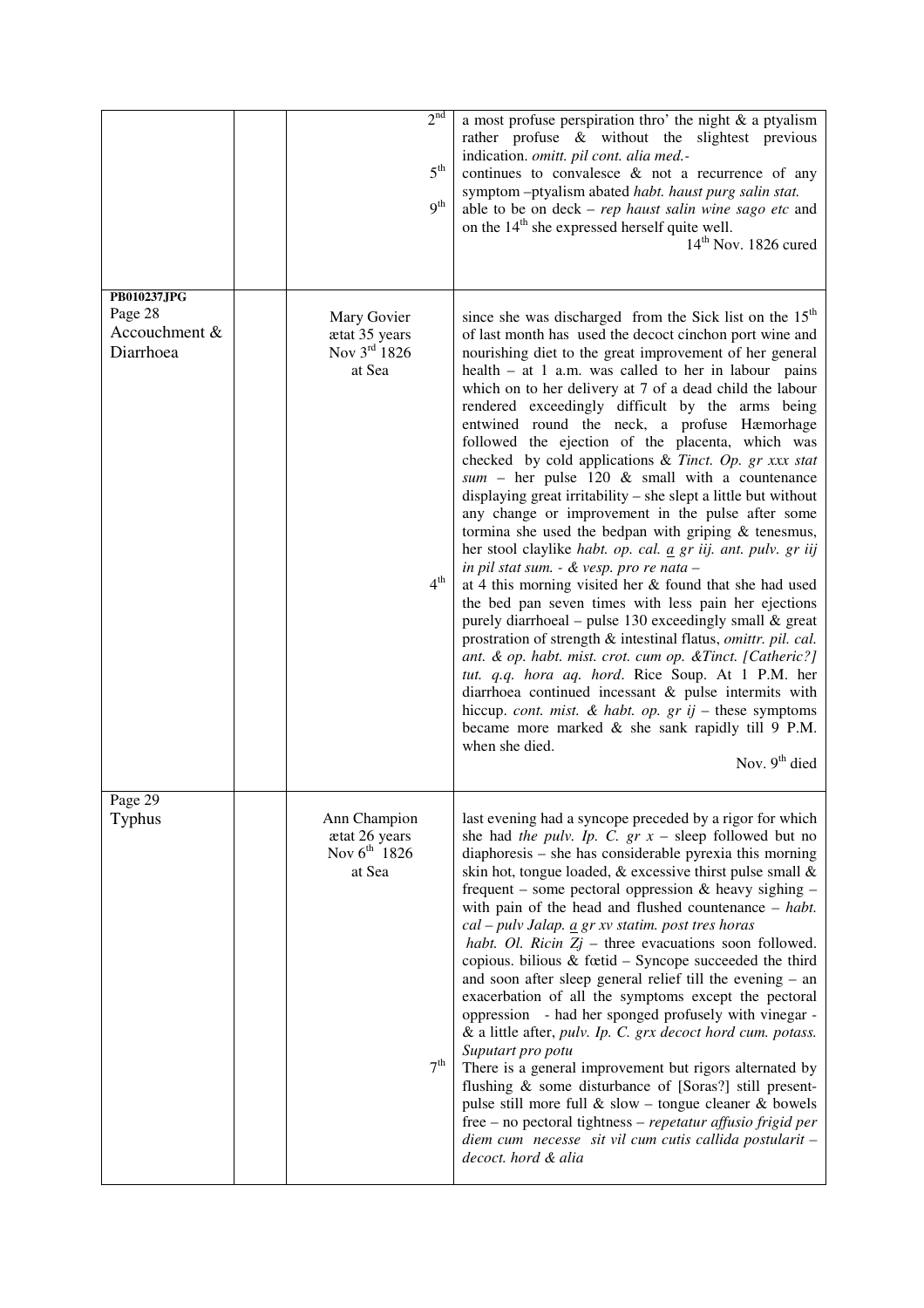|                                                             |                                                              | 2 <sup>nd</sup><br>5 <sup>th</sup><br>9 <sup>th</sup> | a most profuse perspiration thro' the night $\&$ a ptyalism<br>rather profuse & without the slightest previous<br>indication. omitt. pil cont. alia med.-<br>continues to convalesce $\&$ not a recurrence of any<br>symptom -ptyalism abated habt. haust purg salin stat.<br>able to be on $deck - rep$ haust salin wine sago etc and<br>on the 14 <sup>th</sup> she expressed herself quite well.<br>14 <sup>th</sup> Nov. 1826 cured                                                                                                                                                                                                                                                                                                                                                                                                                                                                                                                                                                                                                                                                                                                                                                                                                                                                                                                                                                                                                                           |
|-------------------------------------------------------------|--------------------------------------------------------------|-------------------------------------------------------|-----------------------------------------------------------------------------------------------------------------------------------------------------------------------------------------------------------------------------------------------------------------------------------------------------------------------------------------------------------------------------------------------------------------------------------------------------------------------------------------------------------------------------------------------------------------------------------------------------------------------------------------------------------------------------------------------------------------------------------------------------------------------------------------------------------------------------------------------------------------------------------------------------------------------------------------------------------------------------------------------------------------------------------------------------------------------------------------------------------------------------------------------------------------------------------------------------------------------------------------------------------------------------------------------------------------------------------------------------------------------------------------------------------------------------------------------------------------------------------|
| <b>PB010237JPG</b><br>Page 28<br>Accouchment &<br>Diarrhoea | Mary Govier<br>ætat 35 years<br>Nov $3rd 1826$<br>at Sea     | 4 <sup>th</sup>                                       | since she was discharged from the Sick list on the 15 <sup>th</sup><br>of last month has used the decoct cinchon port wine and<br>nourishing diet to the great improvement of her general<br>health $-$ at 1 a.m. was called to her in labour pains<br>which on to her delivery at 7 of a dead child the labour<br>rendered exceedingly difficult by the arms being<br>entwined round the neck, a profuse Hæmorhage<br>followed the ejection of the placenta, which was<br>checked by cold applications & Tinct. Op. gr xxx stat<br>$sum - her pulse 120 & small with a counterance$<br>displaying great irritability – she slept a little but without<br>any change or improvement in the pulse after some<br>tormina she used the bedpan with griping $\&$ tenesmus,<br>her stool claylike habt. op. cal. $\underline{a}$ gr iij. ant. pulv. gr iij<br>in pil stat sum. - & vesp. pro re nata -<br>at 4 this morning visited her & found that she had used<br>the bed pan seven times with less pain her ejections<br>purely diarrhoeal – pulse 130 exceedingly small & great<br>prostration of strength & intestinal flatus, omittr. pil. cal.<br>ant. & op. habt. mist. crot. cum op. & Tinct. [Catheric?]<br>tut. q.q. hora aq. hord. Rice Soup. At 1 P.M. her<br>diarrhoea continued incessant & pulse intermits with<br>hiccup. cont. mist. & habt. op. $gr$ ij - these symptoms<br>became more marked & she sank rapidly till 9 P.M.<br>when she died.<br>Nov. $9th$ died |
| Page 29<br>Typhus                                           | Ann Champion<br>ætat 26 years<br>Nov $6^{th}$ 1826<br>at Sea | 7 <sup>th</sup>                                       | last evening had a syncope preceded by a rigor for which<br>she had the pulv. Ip. C. $gr x$ – sleep followed but no<br>diaphoresis – she has considerable pyrexia this morning<br>skin hot, tongue loaded, & excessive thirst pulse small &<br>frequent – some pectoral oppression $\&$ heavy sighing –<br>with pain of the head and flushed countenance $-$ habt.<br>cal - pulv Jalap. <i>a gr xv statim.</i> post tres horas<br>habt. Ol. Ricin $Zj$ – three evacuations soon followed.<br>copious. bilious $&$ fœtid – Syncope succeeded the third<br>and soon after sleep general relief till the evening – an<br>exacerbation of all the symptoms except the pectoral<br>oppression - had her sponged profusely with vinegar -<br>& a little after, pulv. Ip. C. grx decoct hord cum. potass.<br>Suputart pro potu<br>There is a general improvement but rigors alternated by<br>flushing & some disturbance of [Soras?] still present-<br>pulse still more full $\&$ slow – tongue cleaner $\&$ bowels<br>free – no pectoral tightness – repetatur affusio frigid per<br>diem cum necesse sit vil cum cutis callida postularit -<br>decoct. hord & alia                                                                                                                                                                                                                                                                                                                     |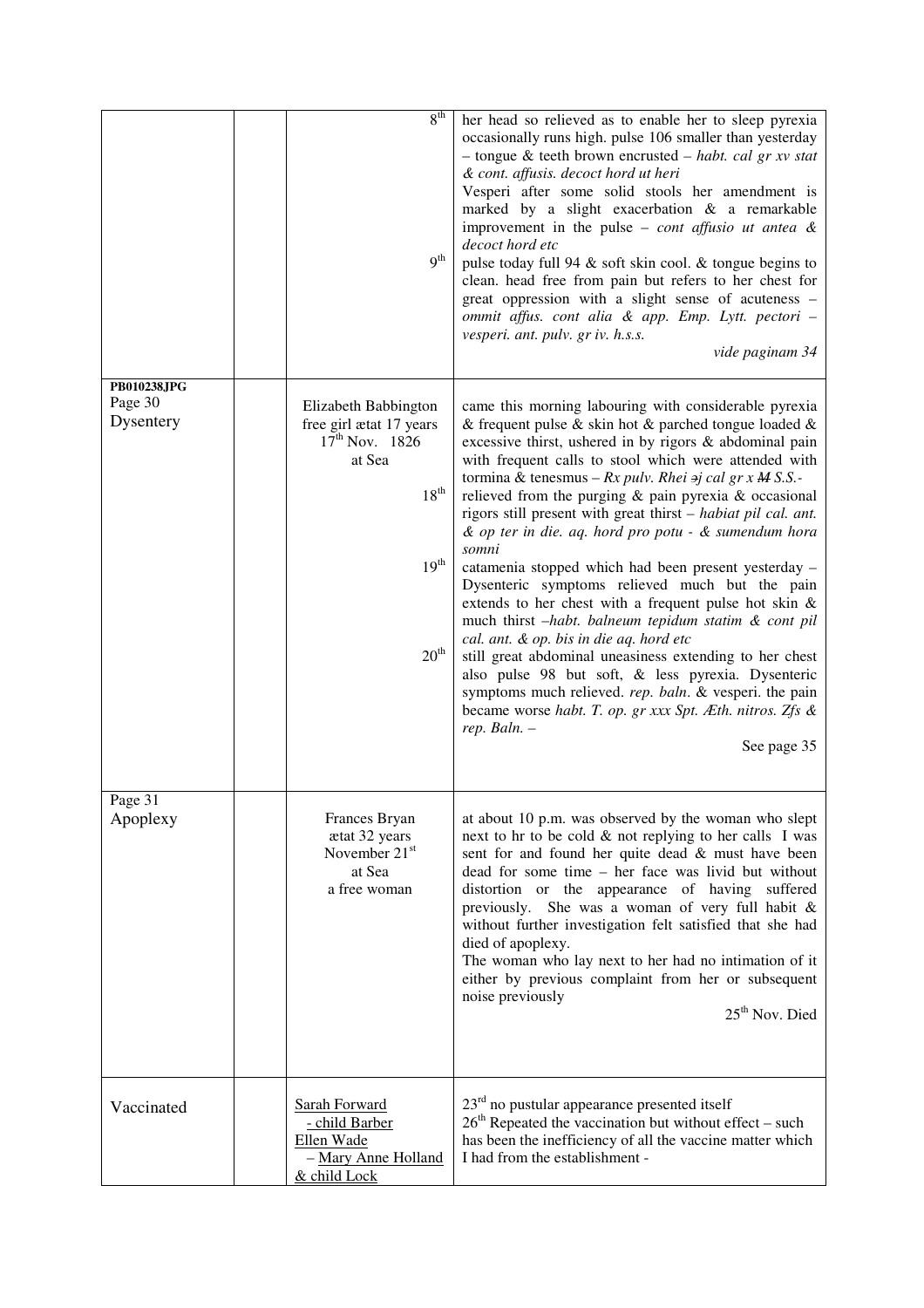|                                     | 8 <sup>th</sup><br>q <sup>th</sup>                                                                                                 | her head so relieved as to enable her to sleep pyrexia<br>occasionally runs high. pulse 106 smaller than yesterday<br>- tongue & teeth brown encrusted - habt. cal gr xv stat<br>& cont. affusis. decoct hord ut heri<br>Vesperi after some solid stools her amendment is<br>marked by a slight exacerbation & a remarkable<br>improvement in the pulse – <i>cont affusio ut antea</i> $\&$<br>decoct hord etc<br>pulse today full 94 $\&$ soft skin cool. $\&$ tongue begins to<br>clean. head free from pain but refers to her chest for<br>great oppression with a slight sense of acuteness -<br>ommit affus. cont alia & app. Emp. Lytt. pectori -<br>vesperi. ant. pulv. gr iv. h.s.s.<br>vide paginam 34                                                                                                                                                                                                                                                                                                                                                    |
|-------------------------------------|------------------------------------------------------------------------------------------------------------------------------------|--------------------------------------------------------------------------------------------------------------------------------------------------------------------------------------------------------------------------------------------------------------------------------------------------------------------------------------------------------------------------------------------------------------------------------------------------------------------------------------------------------------------------------------------------------------------------------------------------------------------------------------------------------------------------------------------------------------------------------------------------------------------------------------------------------------------------------------------------------------------------------------------------------------------------------------------------------------------------------------------------------------------------------------------------------------------|
| PB010238JPG<br>Page 30<br>Dysentery | Elizabeth Babbington<br>free girl ætat 17 years<br>$17^{th}$ Nov. 1826<br>at Sea<br>$18^{th}$<br>$19^{\rm th}$<br>20 <sup>th</sup> | came this morning labouring with considerable pyrexia<br>& frequent pulse & skin hot & parched tongue loaded $\&$<br>excessive thirst, ushered in by rigors & abdominal pain<br>with frequent calls to stool which were attended with<br>tormina & tenesmus – $Rx$ pulv. Rhei $\Rightarrow$ j cal gr x M S.S.-<br>relieved from the purging $\&$ pain pyrexia $\&$ occasional<br>rigors still present with great thirst – habiat pil cal. ant.<br>& op ter in die. aq. hord pro potu - & sumendum hora<br>somni<br>catamenia stopped which had been present yesterday -<br>Dysenteric symptoms relieved much but the pain<br>extends to her chest with a frequent pulse hot skin $\&$<br>much thirst -habt. balneum tepidum statim & cont pil<br>cal. ant. & op. bis in die aq. hord etc<br>still great abdominal uneasiness extending to her chest<br>also pulse 98 but soft, & less pyrexia. Dysenteric<br>symptoms much relieved. rep. baln. & vesperi. the pain<br>became worse habt. T. op. gr xxx Spt. Æth. nitros. Zfs &<br>$rep.$ Baln. $-$<br>See page 35 |
| Page 31<br>Apoplexy                 | Frances Bryan<br>ætat 32 years<br>November 21 <sup>st</sup><br>at Sea<br>a free woman                                              | at about 10 p.m. was observed by the woman who slept<br>next to hr to be cold & not replying to her calls I was<br>sent for and found her quite dead & must have been<br>dead for some time - her face was livid but without<br>distortion or the appearance of having suffered<br>previously. She was a woman of very full habit &<br>without further investigation felt satisfied that she had<br>died of apoplexy.<br>The woman who lay next to her had no intimation of it<br>either by previous complaint from her or subsequent<br>noise previously<br>$25th$ Nov. Died                                                                                                                                                                                                                                                                                                                                                                                                                                                                                      |
| Vaccinated                          | <b>Sarah Forward</b><br>- child Barber<br>Ellen Wade<br>- Mary Anne Holland<br>& child Lock                                        | $23rd$ no pustular appearance presented itself<br>$26th$ Repeated the vaccination but without effect – such<br>has been the inefficiency of all the vaccine matter which<br>I had from the establishment -                                                                                                                                                                                                                                                                                                                                                                                                                                                                                                                                                                                                                                                                                                                                                                                                                                                         |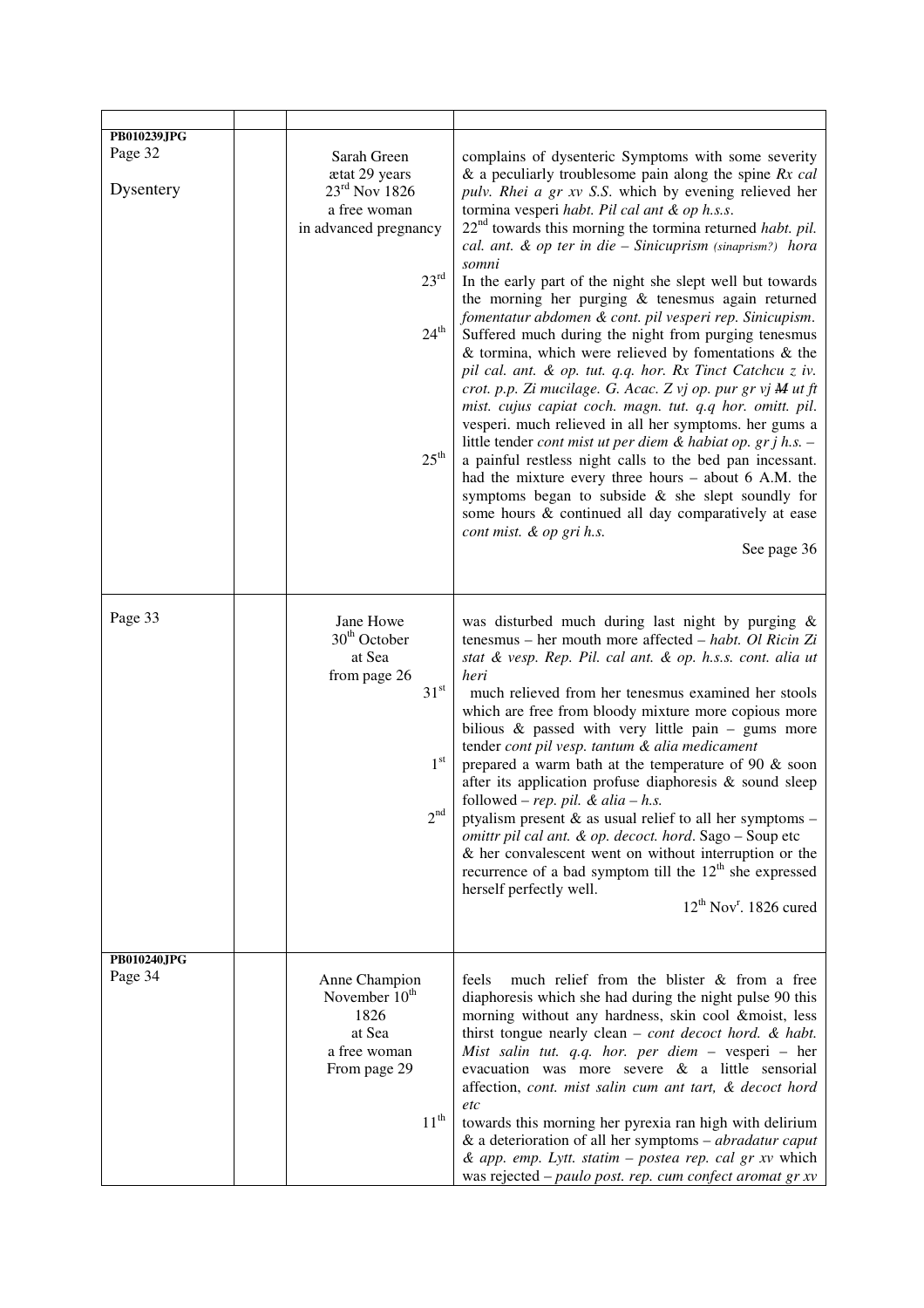| <b>PB010239JPG</b><br>Page 32<br>Dysentery | Sarah Green<br>ætat 29 years<br>$23rd$ Nov 1826<br>a free woman<br>in advanced pregnancy<br>23 <sup>rd</sup><br>24 <sup>th</sup><br>$25^{\text{th}}$ | complains of dysenteric Symptoms with some severity<br>& a peculiarly troublesome pain along the spine $Rx$ cal<br>pulv. Rhei a gr xv S.S. which by evening relieved her<br>tormina vesperi habt. Pil cal ant & op h.s.s.<br>$22nd$ towards this morning the tormina returned <i>habt. pil.</i><br>cal. ant. & op ter in die - Sinicuprism (sinaprism?) hora<br>somni<br>In the early part of the night she slept well but towards<br>the morning her purging $&$ tenesmus again returned<br>fomentatur abdomen & cont. pil vesperi rep. Sinicupism.<br>Suffered much during the night from purging tenesmus<br>$\&$ tormina, which were relieved by fomentations $\&$ the<br>pil cal. ant. & op. tut. q.q. hor. Rx Tinct Catchcu z iv.<br>crot. p.p. Zi mucilage. G. Acac. Z vj op. pur gr vj M ut ft<br>mist. cujus capiat coch. magn. tut. q.q hor. omitt. pil.<br>vesperi. much relieved in all her symptoms. her gums a<br>little tender cont mist ut per diem & habiat op. gr j h.s. -<br>a painful restless night calls to the bed pan incessant.<br>had the mixture every three hours - about 6 A.M. the<br>symptoms began to subside & she slept soundly for<br>some hours & continued all day comparatively at ease<br>cont mist. & op gri h.s.<br>See page 36 |
|--------------------------------------------|------------------------------------------------------------------------------------------------------------------------------------------------------|--------------------------------------------------------------------------------------------------------------------------------------------------------------------------------------------------------------------------------------------------------------------------------------------------------------------------------------------------------------------------------------------------------------------------------------------------------------------------------------------------------------------------------------------------------------------------------------------------------------------------------------------------------------------------------------------------------------------------------------------------------------------------------------------------------------------------------------------------------------------------------------------------------------------------------------------------------------------------------------------------------------------------------------------------------------------------------------------------------------------------------------------------------------------------------------------------------------------------------------------------------------------------|
| Page 33                                    | Jane Howe<br>$30th$ October<br>at Sea<br>from page 26<br>$31^{\rm st}$<br>1 <sup>st</sup><br>2 <sup>nd</sup>                                         | was disturbed much during last night by purging $\&$<br>tenesmus - her mouth more affected - habt. Ol Ricin Zi<br>stat & vesp. Rep. Pil. cal ant. & op. h.s.s. cont. alia ut<br>heri<br>much relieved from her tenesmus examined her stools<br>which are free from bloody mixture more copious more<br>bilious $\&$ passed with very little pain – gums more<br>tender cont pil vesp. tantum & alia medicament<br>prepared a warm bath at the temperature of 90 $\&$ soon<br>after its application profuse diaphoresis & sound sleep<br>followed – rep. pil. & alia – h.s.<br>ptyalism present $\&$ as usual relief to all her symptoms –<br>omittr pil cal ant. & op. decoct. hord. Sago - Soup etc<br>$&$ her convalescent went on without interruption or the<br>recurrence of a bad symptom till the 12 <sup>th</sup> she expressed<br>herself perfectly well.<br>$12^{th}$ Nov <sup>r</sup> . 1826 cured                                                                                                                                                                                                                                                                                                                                                            |
| PB010240JPG<br>Page 34                     | Anne Champion<br>November $10th$<br>1826<br>at Sea<br>a free woman<br>From page 29<br>$11^{th}$                                                      | much relief from the blister & from a free<br>feels<br>diaphoresis which she had during the night pulse 90 this<br>morning without any hardness, skin cool &moist, less<br>thirst tongue nearly clean $-$ cont decoct hord. & habt.<br>Mist salin tut. q.q. hor. per diem - vesperi - her<br>evacuation was more severe & a little sensorial<br>affection, cont. mist salin cum ant tart, & decoct hord<br>etc<br>towards this morning her pyrexia ran high with delirium<br>& a deterioration of all her symptoms – <i>abradatur caput</i><br>& app. emp. Lytt. statim - postea rep. cal gr xv which<br>was rejected - paulo post. rep. cum confect aromat gr xv                                                                                                                                                                                                                                                                                                                                                                                                                                                                                                                                                                                                        |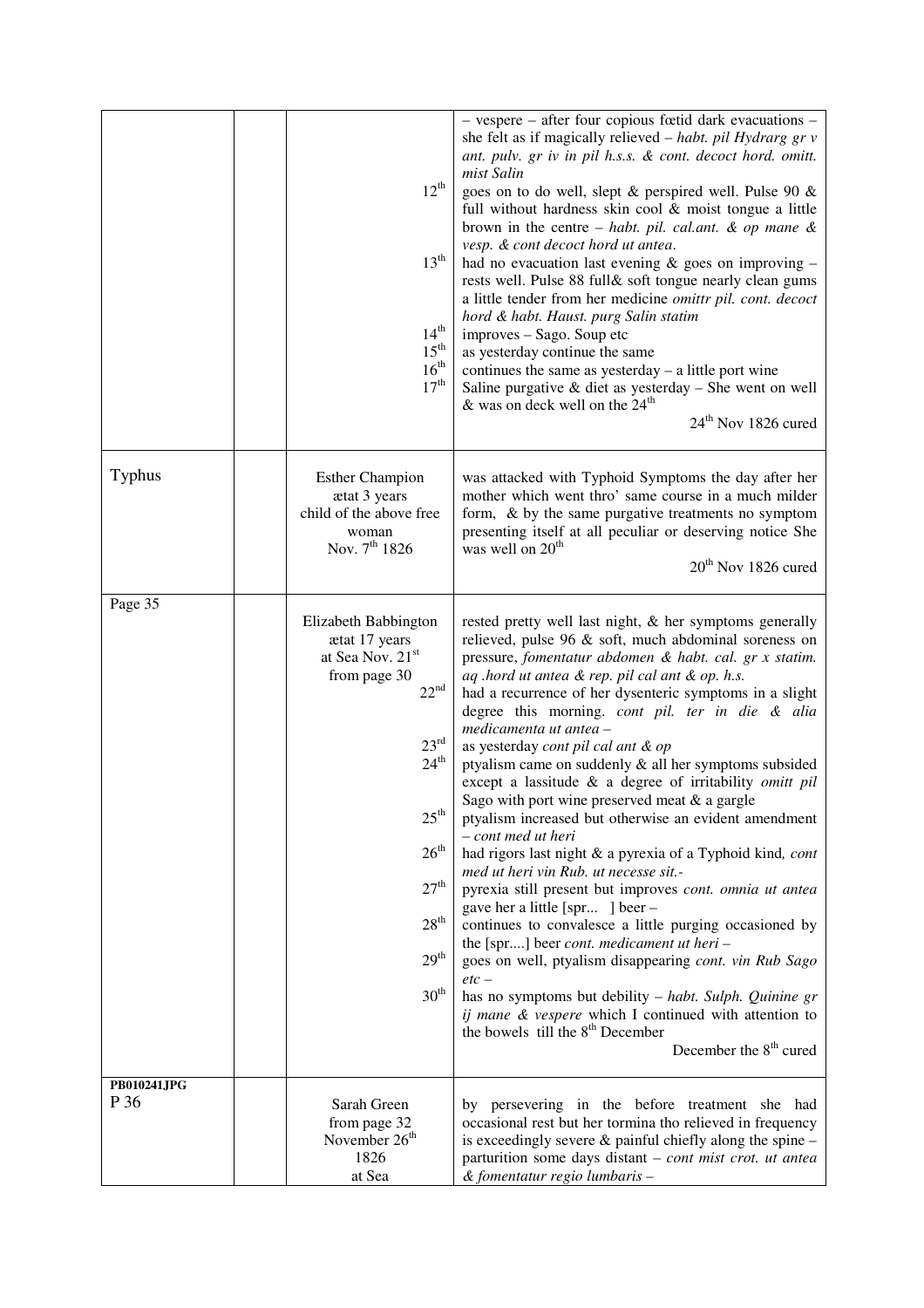|                     | $12^{th}$<br>13 <sup>th</sup><br>$14^{\rm th}$<br>$15^{\rm th}$<br>16 <sup>th</sup><br>17 <sup>th</sup>                                                                                                                                                    | - vespere - after four copious fœtid dark evacuations -<br>she felt as if magically relieved - habt. pil Hydrarg gr v<br>ant. pulv. gr iv in pil h.s.s. & cont. decoct hord. omitt.<br>mist Salin<br>goes on to do well, slept & perspired well. Pulse 90 &<br>full without hardness skin cool $\&$ moist tongue a little<br>brown in the centre – habt. pil. cal.ant. & op mane $\&$<br>vesp. & cont decoct hord ut antea.<br>had no evacuation last evening $\&$ goes on improving –<br>rests well. Pulse 88 full& soft tongue nearly clean gums<br>a little tender from her medicine omittr pil. cont. decoct<br>hord & habt. Haust. purg Salin statim<br>improves – Sago. Soup etc<br>as yesterday continue the same<br>continues the same as yesterday $-$ a little port wine<br>Saline purgative $\&$ diet as yesterday – She went on well<br>& was on deck well on the $24th$<br>24 <sup>th</sup> Nov 1826 cured                                                                                                                                                                                                                                                                                                                        |
|---------------------|------------------------------------------------------------------------------------------------------------------------------------------------------------------------------------------------------------------------------------------------------------|------------------------------------------------------------------------------------------------------------------------------------------------------------------------------------------------------------------------------------------------------------------------------------------------------------------------------------------------------------------------------------------------------------------------------------------------------------------------------------------------------------------------------------------------------------------------------------------------------------------------------------------------------------------------------------------------------------------------------------------------------------------------------------------------------------------------------------------------------------------------------------------------------------------------------------------------------------------------------------------------------------------------------------------------------------------------------------------------------------------------------------------------------------------------------------------------------------------------------------------------|
| <b>Typhus</b>       | <b>Esther Champion</b><br>ætat 3 years<br>child of the above free<br>woman<br>Nov. 7 <sup>th</sup> 1826                                                                                                                                                    | was attacked with Typhoid Symptoms the day after her<br>mother which went thro' same course in a much milder<br>form, & by the same purgative treatments no symptom<br>presenting itself at all peculiar or deserving notice She<br>was well on 20 <sup>th</sup><br>20 <sup>th</sup> Nov 1826 cured                                                                                                                                                                                                                                                                                                                                                                                                                                                                                                                                                                                                                                                                                                                                                                                                                                                                                                                                            |
| Page 35             | Elizabeth Babbington<br>ætat 17 years<br>at Sea Nov. 21st<br>from page 30<br>22 <sup>nd</sup><br>$23^{\rm rd}$<br>24 <sup>th</sup><br>$25^{\text{th}}$<br>26 <sup>th</sup><br>27 <sup>th</sup><br>28 <sup>th</sup><br>29 <sup>th</sup><br>30 <sup>th</sup> | rested pretty well last night, & her symptoms generally<br>relieved, pulse 96 & soft, much abdominal soreness on<br>pressure, fomentatur abdomen & habt. cal. gr x statim.<br>aq .hord ut antea & rep. pil cal ant & op. h.s.<br>had a recurrence of her dysenteric symptoms in a slight<br>degree this morning. cont pil. ter in die & alia<br>medicamenta ut antea -<br>as yesterday cont pil cal ant & op<br>ptyalism came on suddenly & all her symptoms subsided<br>except a lassitude & a degree of irritability omitt pil<br>Sago with port wine preserved meat & a gargle<br>ptyalism increased but otherwise an evident amendment<br>- cont med ut heri<br>had rigors last night & a pyrexia of a Typhoid kind, cont<br>med ut heri vin Rub. ut necesse sit.-<br>pyrexia still present but improves cont. omnia ut antea<br>gave her a little [spr ] beer -<br>continues to convalesce a little purging occasioned by<br>the [spr] beer cont. medicament ut heri -<br>goes on well, ptyalism disappearing cont. vin Rub Sago<br>$etc-$<br>has no symptoms but debility - habt. Sulph. Quinine gr<br>ij mane & vespere which I continued with attention to<br>the bowels till the $8th$ December<br>December the 8 <sup>th</sup> cured |
| PB010241JPG<br>P 36 | Sarah Green<br>from page 32<br>November 26 <sup>th</sup><br>1826<br>at Sea                                                                                                                                                                                 | by persevering in the before treatment she had<br>occasional rest but her tormina tho relieved in frequency<br>is exceedingly severe $\&$ painful chiefly along the spine $-$<br>parturition some days distant - cont mist crot. ut antea<br>& fomentatur regio lumbaris -                                                                                                                                                                                                                                                                                                                                                                                                                                                                                                                                                                                                                                                                                                                                                                                                                                                                                                                                                                     |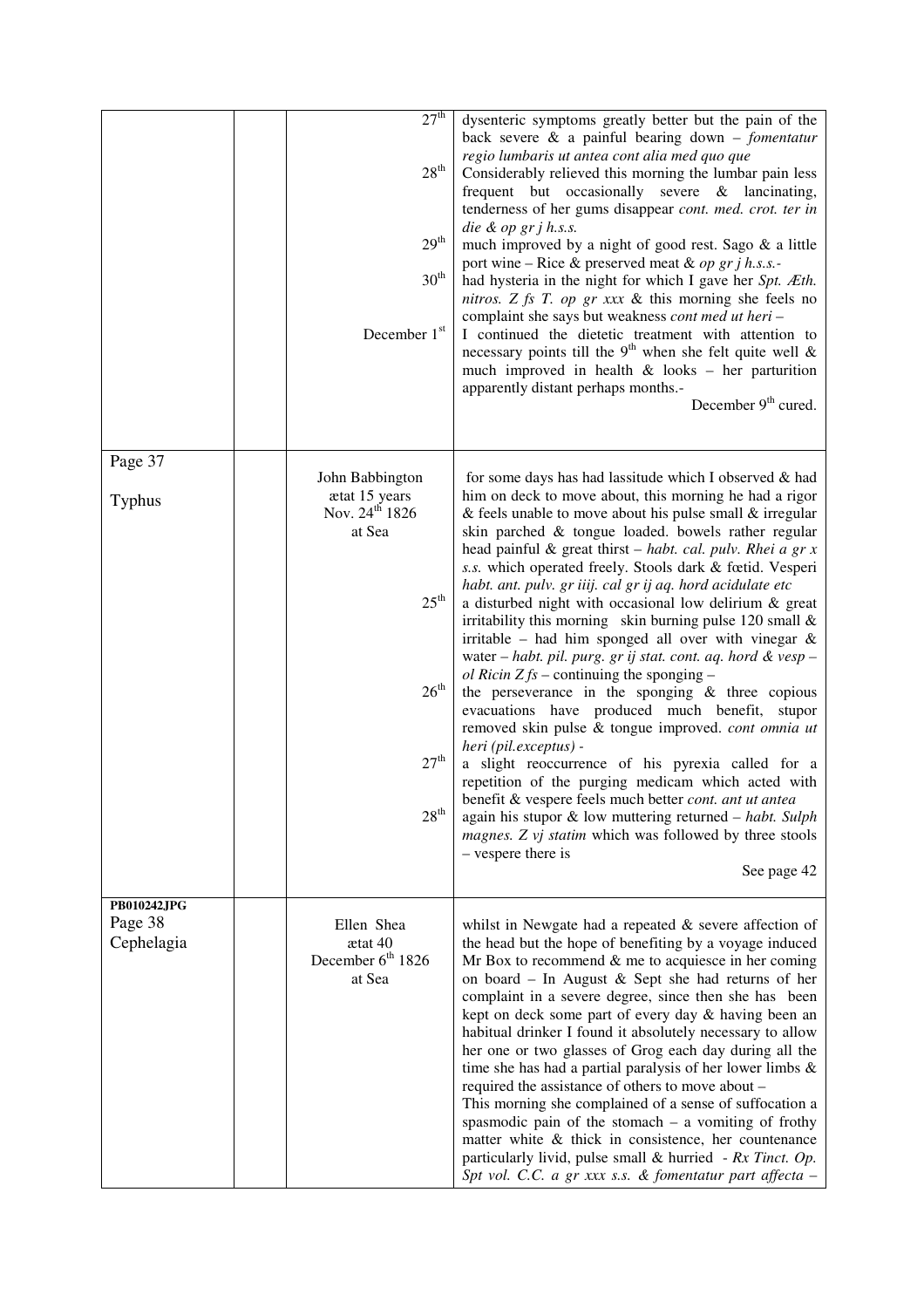|                                             | 27 <sup>th</sup><br>$28^{\rm th}$<br>29 <sup>th</sup><br>30 <sup>th</sup><br>December 1st                                                             | dysenteric symptoms greatly better but the pain of the<br>back severe $\&$ a painful bearing down - fomentatur<br>regio lumbaris ut antea cont alia med quo que<br>Considerably relieved this morning the lumbar pain less<br>frequent but occasionally severe & lancinating,<br>tenderness of her gums disappear cont. med. crot. ter in<br>die & op gr $j$ h.s.s.<br>much improved by a night of good rest. Sago & a little<br>port wine – Rice & preserved meat & op gr j h.s.s.-<br>had hysteria in the night for which I gave her Spt. Æth.<br>nitros. Z fs T. op gr xxx & this morning she feels no<br>complaint she says but weakness cont med ut heri-<br>I continued the dietetic treatment with attention to<br>necessary points till the 9 <sup>th</sup> when she felt quite well $\&$<br>much improved in health $&$ looks - her parturition<br>apparently distant perhaps months.-                                                                                                                                                                                                                                                                                                                                                                                 |
|---------------------------------------------|-------------------------------------------------------------------------------------------------------------------------------------------------------|---------------------------------------------------------------------------------------------------------------------------------------------------------------------------------------------------------------------------------------------------------------------------------------------------------------------------------------------------------------------------------------------------------------------------------------------------------------------------------------------------------------------------------------------------------------------------------------------------------------------------------------------------------------------------------------------------------------------------------------------------------------------------------------------------------------------------------------------------------------------------------------------------------------------------------------------------------------------------------------------------------------------------------------------------------------------------------------------------------------------------------------------------------------------------------------------------------------------------------------------------------------------------------|
|                                             |                                                                                                                                                       | December $9th$ cured.                                                                                                                                                                                                                                                                                                                                                                                                                                                                                                                                                                                                                                                                                                                                                                                                                                                                                                                                                                                                                                                                                                                                                                                                                                                           |
| Page 37<br>Typhus                           | John Babbington<br>ætat 15 years<br>Nov. 24 <sup>th</sup> 1826<br>at Sea<br>$25^{\text{th}}$<br>$26^{\text{th}}$<br>$27^{\rm th}$<br>28 <sup>th</sup> | for some days has had lassitude which I observed & had<br>him on deck to move about, this morning he had a rigor<br>& feels unable to move about his pulse small $&$ irregular<br>skin parched & tongue loaded. bowels rather regular<br>head painful & great thirst $-$ <i>habt. cal. pulv. Rhei a gr x</i><br>s.s. which operated freely. Stools dark & fœtid. Vesperi<br>habt. ant. pulv. gr iiij. cal gr ij aq. hord acidulate etc<br>a disturbed night with occasional low delirium & great<br>irritability this morning skin burning pulse 120 small $\&$<br>irritable - had him sponged all over with vinegar $\&$<br>water - habt. pil. purg. gr ij stat. cont. aq. hord & vesp -<br><i>ol Ricin Z fs</i> – continuing the sponging –<br>the perseverance in the sponging $\&$ three copious<br>evacuations have produced much benefit, stupor<br>removed skin pulse & tongue improved. cont omnia ut<br>heri (pil.exceptus) -<br>a slight reoccurrence of his pyrexia called for a<br>repetition of the purging medicam which acted with<br>benefit & vespere feels much better <i>cont. ant ut antea</i><br>again his stupor $\&$ low muttering returned - habt. Sulph<br>magnes. Z vj statim which was followed by three stools<br>- vespere there is<br>See page 42 |
| <b>PB010242JPG</b><br>Page 38<br>Cephelagia | Ellen Shea<br>ætat 40<br>December 6 <sup>th</sup> 1826<br>at Sea                                                                                      | whilst in Newgate had a repeated $\&$ severe affection of<br>the head but the hope of benefiting by a voyage induced<br>Mr Box to recommend $\&$ me to acquiesce in her coming<br>on board - In August & Sept she had returns of her<br>complaint in a severe degree, since then she has been<br>kept on deck some part of every day & having been an<br>habitual drinker I found it absolutely necessary to allow<br>her one or two glasses of Grog each day during all the<br>time she has had a partial paralysis of her lower limbs $\&$<br>required the assistance of others to move about -<br>This morning she complained of a sense of suffocation a<br>spasmodic pain of the stomach $-$ a vomiting of frothy<br>matter white $\&$ thick in consistence, her countenance<br>particularly livid, pulse small & hurried - $Rx$ Tinct. Op.<br>Spt vol. C.C. a gr xxx s.s. & fomentatur part affecta -                                                                                                                                                                                                                                                                                                                                                                     |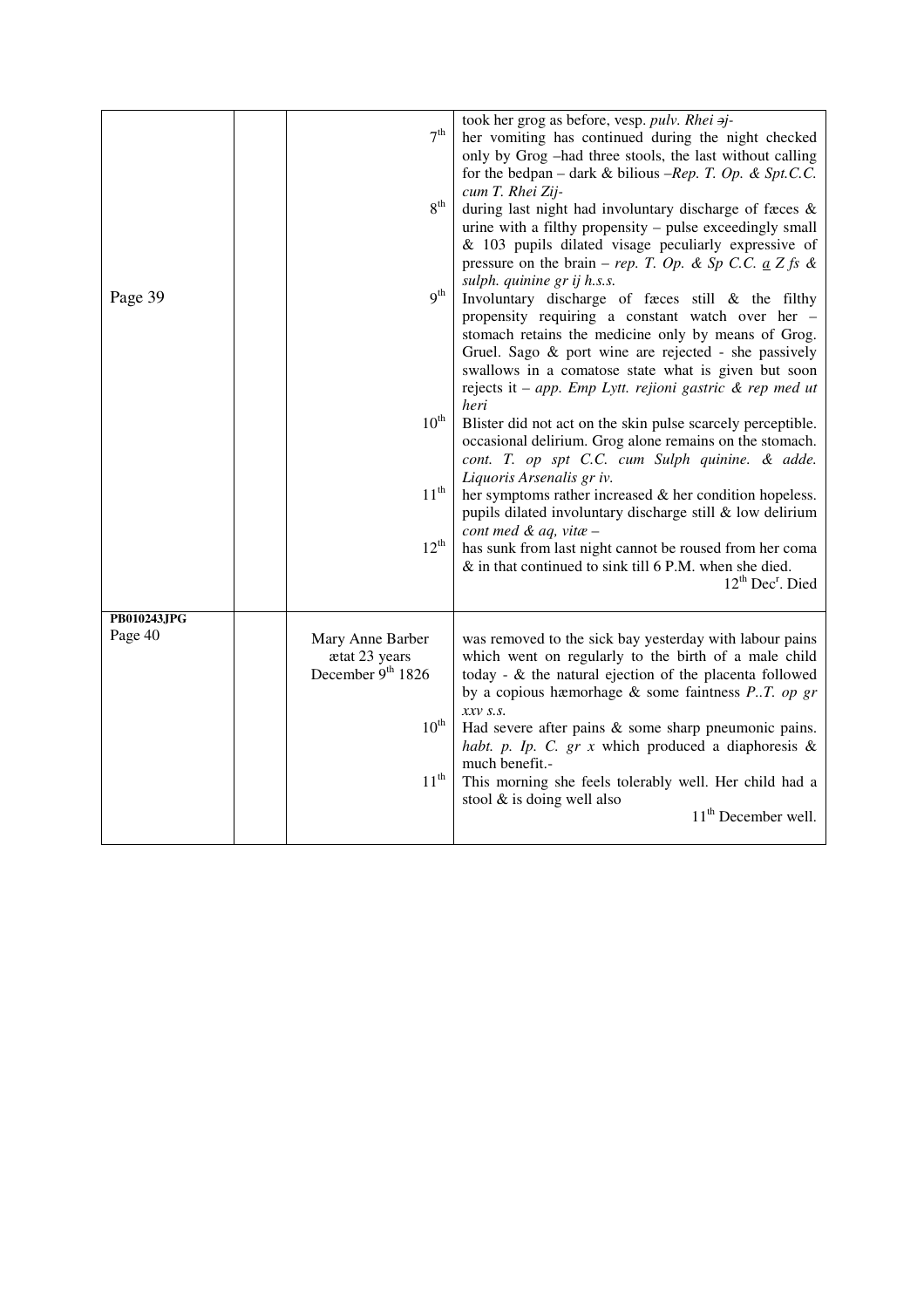|                        |                   | took her grog as before, vesp. pulv. Rhei aj-               |
|------------------------|-------------------|-------------------------------------------------------------|
|                        | 7 <sup>th</sup>   | her vomiting has continued during the night checked         |
|                        |                   | only by Grog -had three stools, the last without calling    |
|                        |                   | for the bedpan – dark & bilious –Rep. T. Op. & Spt.C.C.     |
|                        |                   |                                                             |
|                        | 8 <sup>th</sup>   | cum T. Rhei Zij-                                            |
|                        |                   | during last night had involuntary discharge of fæces &      |
|                        |                   | urine with a filthy propensity - pulse exceedingly small    |
|                        |                   | & 103 pupils dilated visage peculiarly expressive of        |
|                        |                   | pressure on the brain – rep. T. Op. & Sp C.C. $a Z f s \&$  |
|                        | 9 <sup>th</sup>   | sulph. quinine gr ij h.s.s.                                 |
| Page 39                |                   | Involuntary discharge of faces still & the filthy           |
|                        |                   | propensity requiring a constant watch over her -            |
|                        |                   | stomach retains the medicine only by means of Grog.         |
|                        |                   | Gruel. Sago & port wine are rejected - she passively        |
|                        |                   | swallows in a comatose state what is given but soon         |
|                        |                   | rejects it - app. Emp Lytt. rejioni gastric $\&$ rep med ut |
|                        |                   | heri                                                        |
|                        | $10^{\text{th}}$  | Blister did not act on the skin pulse scarcely perceptible. |
|                        |                   | occasional delirium. Grog alone remains on the stomach.     |
|                        |                   | cont. T. op spt C.C. cum Sulph quinine. & adde.             |
|                        |                   | Liquoris Arsenalis gr iv.                                   |
|                        | $11^{\text{th}}$  | her symptoms rather increased $\&$ her condition hopeless.  |
|                        |                   | pupils dilated involuntary discharge still & low delirium   |
|                        |                   | cont med & aq, vitae -                                      |
|                        | $12^{\text{th}}$  | has sunk from last night cannot be roused from her coma     |
|                        |                   | & in that continued to sink till 6 P.M. when she died.      |
|                        |                   | $12^{th}$ Dec <sup>r</sup> . Died                           |
|                        |                   |                                                             |
| PB010243JPG<br>Page 40 |                   |                                                             |
|                        | Mary Anne Barber  | was removed to the sick bay yesterday with labour pains     |
|                        | ætat 23 years     | which went on regularly to the birth of a male child        |
|                        | December 9th 1826 | today - $\&$ the natural ejection of the placenta followed  |
|                        |                   | by a copious hæmorhage $\&$ some faintness P.T. op gr       |
|                        |                   | $xxv$ s.s.                                                  |
|                        | $10^{\rm th}$     | Had severe after pains $\&$ some sharp pneumonic pains.     |
|                        |                   | habt. p. Ip. C. $gr\ x$ which produced a diaphoresis &      |
|                        |                   | much benefit.-                                              |
|                        | $11^{\rm th}$     | This morning she feels tolerably well. Her child had a      |
|                        |                   | stool $&$ is doing well also                                |
|                        |                   | 11 <sup>th</sup> December well.                             |
|                        |                   |                                                             |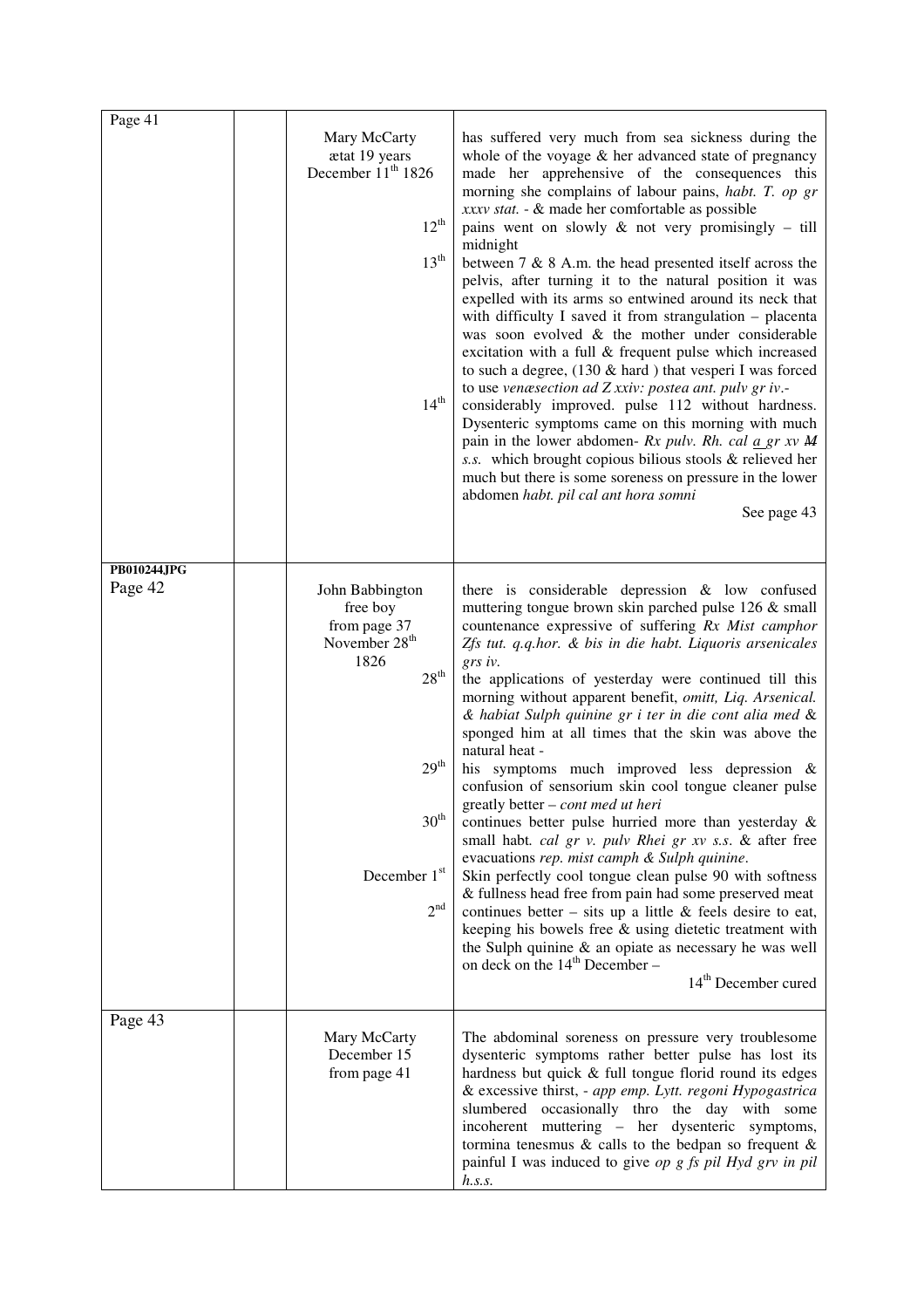| Page 41                | Mary McCarty<br>ætat 19 years<br>December 11 <sup>th</sup> 1826<br>$12^{th}$<br>13 <sup>th</sup><br>$14^{\rm th}$                                                            | has suffered very much from sea sickness during the<br>whole of the voyage $&$ her advanced state of pregnancy<br>made her apprehensive of the consequences this<br>morning she complains of labour pains, habt. T. op gr<br>xxxv stat. - & made her comfortable as possible<br>pains went on slowly $\&$ not very promisingly – till<br>midnight<br>between $7 \& 8$ A.m. the head presented itself across the<br>pelvis, after turning it to the natural position it was<br>expelled with its arms so entwined around its neck that<br>with difficulty I saved it from strangulation - placenta<br>was soon evolved & the mother under considerable<br>excitation with a full & frequent pulse which increased<br>to such a degree, $(130 \& \text{hard})$ that vesperi I was forced<br>to use venæsection ad Z xxiv: postea ant. pulv gr iv.-<br>considerably improved. pulse 112 without hardness.<br>Dysenteric symptoms came on this morning with much<br>pain in the lower abdomen- Rx pulv. Rh. cal $\underline{a}$ gr xv M<br>s.s. which brought copious bilious stools & relieved her<br>much but there is some soreness on pressure in the lower<br>abdomen habt. pil cal ant hora somni<br>See page 43   |
|------------------------|------------------------------------------------------------------------------------------------------------------------------------------------------------------------------|----------------------------------------------------------------------------------------------------------------------------------------------------------------------------------------------------------------------------------------------------------------------------------------------------------------------------------------------------------------------------------------------------------------------------------------------------------------------------------------------------------------------------------------------------------------------------------------------------------------------------------------------------------------------------------------------------------------------------------------------------------------------------------------------------------------------------------------------------------------------------------------------------------------------------------------------------------------------------------------------------------------------------------------------------------------------------------------------------------------------------------------------------------------------------------------------------------------------|
| PB010244JPG<br>Page 42 | John Babbington<br>free boy<br>from page 37<br>November 28 <sup>th</sup><br>1826<br>28 <sup>th</sup><br>29 <sup>th</sup><br>$30^{\rm th}$<br>December 1st<br>2 <sup>nd</sup> | there is considerable depression $\&$ low confused<br>muttering tongue brown skin parched pulse 126 & small<br>countenance expressive of suffering Rx Mist camphor<br>Zfs tut. q.q.hor. & bis in die habt. Liquoris arsenicales<br>grs iv.<br>the applications of yesterday were continued till this<br>morning without apparent benefit, omitt, Liq. Arsenical.<br>& habiat Sulph quinine gr i ter in die cont alia med &<br>sponged him at all times that the skin was above the<br>natural heat -<br>his symptoms much improved less depression &<br>confusion of sensorium skin cool tongue cleaner pulse<br>greatly better - cont med ut heri<br>continues better pulse hurried more than yesterday &<br>small habt. cal gr v. pulv Rhei gr xv s.s. & after free<br>evacuations rep. mist camph & Sulph quinine.<br>Skin perfectly cool tongue clean pulse 90 with softness<br>& fullness head free from pain had some preserved meat<br>continues better – sits up a little $\&$ feels desire to eat,<br>keeping his bowels free & using dietetic treatment with<br>the Sulph quinine $\&$ an opiate as necessary he was well<br>on deck on the 14 <sup>th</sup> December –<br>14 <sup>th</sup> December cured |
| Page 43                | Mary McCarty<br>December 15<br>from page 41                                                                                                                                  | The abdominal soreness on pressure very troublesome<br>dysenteric symptoms rather better pulse has lost its<br>hardness but quick & full tongue florid round its edges<br>& excessive thirst, - app emp. Lytt. regoni Hypogastrica<br>slumbered occasionally thro the day with some<br>incoherent muttering – her dysenteric symptoms,<br>tormina tenesmus $\&$ calls to the bedpan so frequent $\&$<br>painful I was induced to give op $g$ fs pil Hyd grv in pil<br>h.s.s.                                                                                                                                                                                                                                                                                                                                                                                                                                                                                                                                                                                                                                                                                                                                         |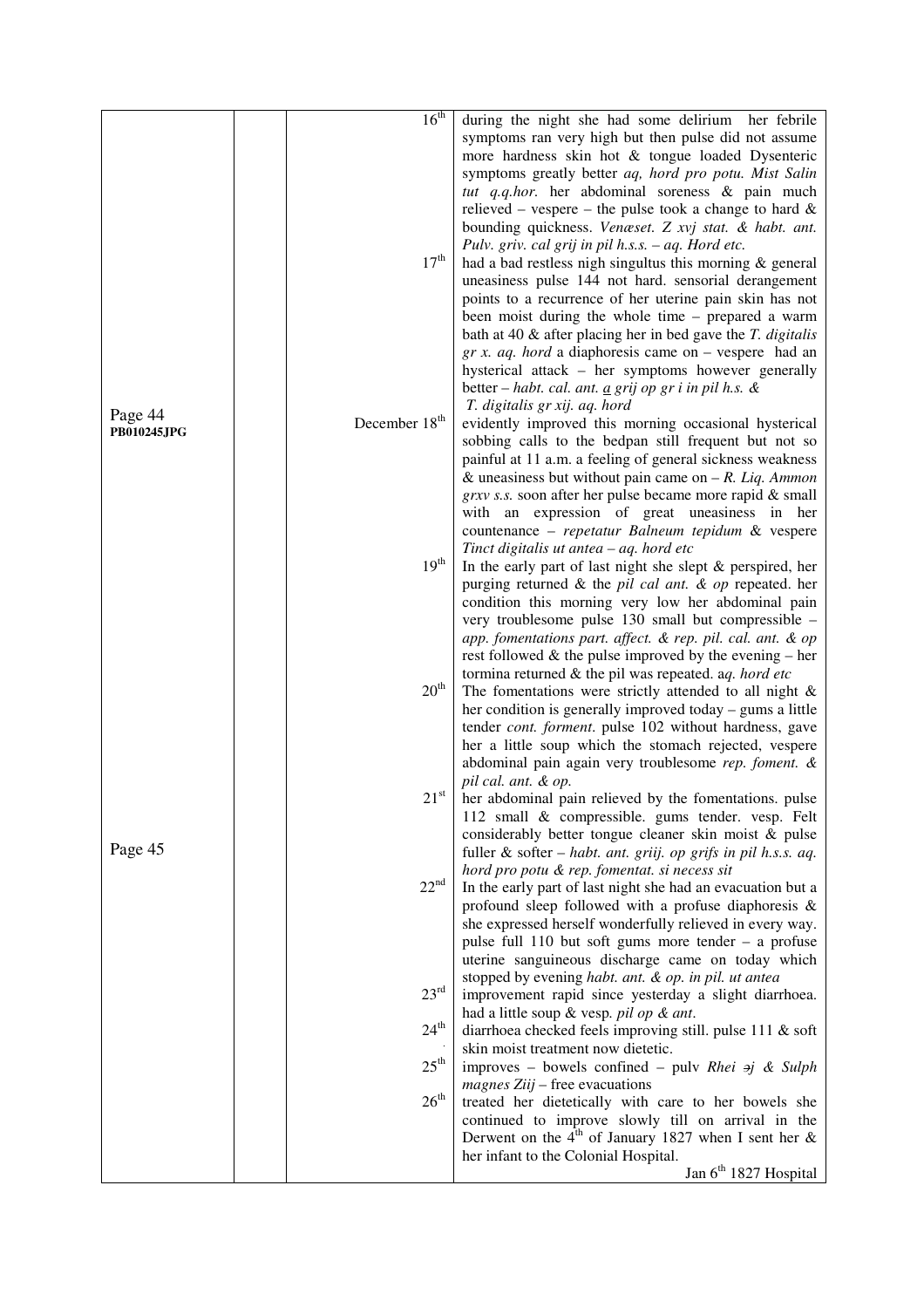| 16 <sup>th</sup><br>during the night she had some delirium her febrile<br>symptoms ran very high but then pulse did not assume<br>more hardness skin hot & tongue loaded Dysenteric<br>symptoms greatly better aq, hord pro potu. Mist Salin<br>tut q.q.hor. her abdominal soreness & pain much<br>relieved – vespere – the pulse took a change to hard $\&$<br>bounding quickness. Venæset. Z xvj stat. & habt. ant.<br>Pulv. griv. cal grij in pil h.s.s. - aq. Hord etc.<br>$17^{\rm th}$<br>had a bad restless nigh singultus this morning $\&$ general<br>uneasiness pulse 144 not hard. sensorial derangement<br>points to a recurrence of her uterine pain skin has not<br>been moist during the whole time – prepared a warm<br>bath at 40 $\&$ after placing her in bed gave the $T$ . digitalis<br>$gr x$ . <i>aq.</i> hord a diaphoresis came on – vespere had an |
|------------------------------------------------------------------------------------------------------------------------------------------------------------------------------------------------------------------------------------------------------------------------------------------------------------------------------------------------------------------------------------------------------------------------------------------------------------------------------------------------------------------------------------------------------------------------------------------------------------------------------------------------------------------------------------------------------------------------------------------------------------------------------------------------------------------------------------------------------------------------------|
|                                                                                                                                                                                                                                                                                                                                                                                                                                                                                                                                                                                                                                                                                                                                                                                                                                                                              |
|                                                                                                                                                                                                                                                                                                                                                                                                                                                                                                                                                                                                                                                                                                                                                                                                                                                                              |
|                                                                                                                                                                                                                                                                                                                                                                                                                                                                                                                                                                                                                                                                                                                                                                                                                                                                              |
|                                                                                                                                                                                                                                                                                                                                                                                                                                                                                                                                                                                                                                                                                                                                                                                                                                                                              |
|                                                                                                                                                                                                                                                                                                                                                                                                                                                                                                                                                                                                                                                                                                                                                                                                                                                                              |
|                                                                                                                                                                                                                                                                                                                                                                                                                                                                                                                                                                                                                                                                                                                                                                                                                                                                              |
|                                                                                                                                                                                                                                                                                                                                                                                                                                                                                                                                                                                                                                                                                                                                                                                                                                                                              |
|                                                                                                                                                                                                                                                                                                                                                                                                                                                                                                                                                                                                                                                                                                                                                                                                                                                                              |
|                                                                                                                                                                                                                                                                                                                                                                                                                                                                                                                                                                                                                                                                                                                                                                                                                                                                              |
|                                                                                                                                                                                                                                                                                                                                                                                                                                                                                                                                                                                                                                                                                                                                                                                                                                                                              |
|                                                                                                                                                                                                                                                                                                                                                                                                                                                                                                                                                                                                                                                                                                                                                                                                                                                                              |
|                                                                                                                                                                                                                                                                                                                                                                                                                                                                                                                                                                                                                                                                                                                                                                                                                                                                              |
|                                                                                                                                                                                                                                                                                                                                                                                                                                                                                                                                                                                                                                                                                                                                                                                                                                                                              |
| hysterical attack - her symptoms however generally                                                                                                                                                                                                                                                                                                                                                                                                                                                                                                                                                                                                                                                                                                                                                                                                                           |
| better – habt. cal. ant. $\underline{a}$ grij op gr i in pil h.s. &                                                                                                                                                                                                                                                                                                                                                                                                                                                                                                                                                                                                                                                                                                                                                                                                          |
| T. digitalis gr xij. aq. hord<br>Page 44                                                                                                                                                                                                                                                                                                                                                                                                                                                                                                                                                                                                                                                                                                                                                                                                                                     |
| December 18 <sup>th</sup><br>evidently improved this morning occasional hysterical<br>PB010245JPG                                                                                                                                                                                                                                                                                                                                                                                                                                                                                                                                                                                                                                                                                                                                                                            |
| sobbing calls to the bedpan still frequent but not so                                                                                                                                                                                                                                                                                                                                                                                                                                                                                                                                                                                                                                                                                                                                                                                                                        |
| painful at 11 a.m. a feeling of general sickness weakness                                                                                                                                                                                                                                                                                                                                                                                                                                                                                                                                                                                                                                                                                                                                                                                                                    |
| & uneasiness but without pain came on $-R$ . Liq. Ammon                                                                                                                                                                                                                                                                                                                                                                                                                                                                                                                                                                                                                                                                                                                                                                                                                      |
| grxv s.s. soon after her pulse became more rapid & small<br>with an expression of great uneasiness in her                                                                                                                                                                                                                                                                                                                                                                                                                                                                                                                                                                                                                                                                                                                                                                    |
| countenance - repetatur Balneum tepidum & vespere                                                                                                                                                                                                                                                                                                                                                                                                                                                                                                                                                                                                                                                                                                                                                                                                                            |
| Tinct digitalis ut antea - aq. hord etc                                                                                                                                                                                                                                                                                                                                                                                                                                                                                                                                                                                                                                                                                                                                                                                                                                      |
| $19^{\rm th}$<br>In the early part of last night she slept $\&$ perspired, her                                                                                                                                                                                                                                                                                                                                                                                                                                                                                                                                                                                                                                                                                                                                                                                               |
| purging returned & the pil cal ant. $\&$ op repeated. her                                                                                                                                                                                                                                                                                                                                                                                                                                                                                                                                                                                                                                                                                                                                                                                                                    |
| condition this morning very low her abdominal pain                                                                                                                                                                                                                                                                                                                                                                                                                                                                                                                                                                                                                                                                                                                                                                                                                           |
| very troublesome pulse 130 small but compressible -                                                                                                                                                                                                                                                                                                                                                                                                                                                                                                                                                                                                                                                                                                                                                                                                                          |
| app. fomentations part. affect. & rep. pil. cal. ant. & op                                                                                                                                                                                                                                                                                                                                                                                                                                                                                                                                                                                                                                                                                                                                                                                                                   |
| rest followed $\&$ the pulse improved by the evening – her                                                                                                                                                                                                                                                                                                                                                                                                                                                                                                                                                                                                                                                                                                                                                                                                                   |
| tormina returned $\&$ the pil was repeated. aq. hord etc                                                                                                                                                                                                                                                                                                                                                                                                                                                                                                                                                                                                                                                                                                                                                                                                                     |
| $20^{\text{th}}$<br>The fomentations were strictly attended to all night $\&$                                                                                                                                                                                                                                                                                                                                                                                                                                                                                                                                                                                                                                                                                                                                                                                                |
| her condition is generally improved today – gums a little                                                                                                                                                                                                                                                                                                                                                                                                                                                                                                                                                                                                                                                                                                                                                                                                                    |
| tender cont. forment. pulse 102 without hardness, gave                                                                                                                                                                                                                                                                                                                                                                                                                                                                                                                                                                                                                                                                                                                                                                                                                       |
| her a little soup which the stomach rejected, vespere                                                                                                                                                                                                                                                                                                                                                                                                                                                                                                                                                                                                                                                                                                                                                                                                                        |
| abdominal pain again very troublesome rep. foment. &                                                                                                                                                                                                                                                                                                                                                                                                                                                                                                                                                                                                                                                                                                                                                                                                                         |
| pil cal. ant. & op.<br>$21^{\rm st}$<br>her abdominal pain relieved by the fomentations. pulse                                                                                                                                                                                                                                                                                                                                                                                                                                                                                                                                                                                                                                                                                                                                                                               |
| 112 small & compressible. gums tender. vesp. Felt                                                                                                                                                                                                                                                                                                                                                                                                                                                                                                                                                                                                                                                                                                                                                                                                                            |
| considerably better tongue cleaner skin moist & pulse                                                                                                                                                                                                                                                                                                                                                                                                                                                                                                                                                                                                                                                                                                                                                                                                                        |
| Page 45<br>fuller & softer - habt. ant. griij. op grifs in pil h.s.s. aq.                                                                                                                                                                                                                                                                                                                                                                                                                                                                                                                                                                                                                                                                                                                                                                                                    |
| hord pro potu & rep. fomentat. si necess sit                                                                                                                                                                                                                                                                                                                                                                                                                                                                                                                                                                                                                                                                                                                                                                                                                                 |
| 22 <sup>nd</sup><br>In the early part of last night she had an evacuation but a                                                                                                                                                                                                                                                                                                                                                                                                                                                                                                                                                                                                                                                                                                                                                                                              |
| profound sleep followed with a profuse diaphoresis &                                                                                                                                                                                                                                                                                                                                                                                                                                                                                                                                                                                                                                                                                                                                                                                                                         |
| she expressed herself wonderfully relieved in every way.                                                                                                                                                                                                                                                                                                                                                                                                                                                                                                                                                                                                                                                                                                                                                                                                                     |
| pulse full 110 but soft gums more tender - a profuse                                                                                                                                                                                                                                                                                                                                                                                                                                                                                                                                                                                                                                                                                                                                                                                                                         |
| uterine sanguineous discharge came on today which                                                                                                                                                                                                                                                                                                                                                                                                                                                                                                                                                                                                                                                                                                                                                                                                                            |
| stopped by evening habt. ant. & op. in pil. ut antea                                                                                                                                                                                                                                                                                                                                                                                                                                                                                                                                                                                                                                                                                                                                                                                                                         |
| $23^{\rm rd}$<br>improvement rapid since yesterday a slight diarrhoea.                                                                                                                                                                                                                                                                                                                                                                                                                                                                                                                                                                                                                                                                                                                                                                                                       |
| had a little soup & vesp. pil op & ant.                                                                                                                                                                                                                                                                                                                                                                                                                                                                                                                                                                                                                                                                                                                                                                                                                                      |
| $24^{\text{th}}$<br>diarrhoea checked feels improving still. pulse 111 & soft                                                                                                                                                                                                                                                                                                                                                                                                                                                                                                                                                                                                                                                                                                                                                                                                |
| skin moist treatment now dietetic.<br>$25^{\rm th}$                                                                                                                                                                                                                                                                                                                                                                                                                                                                                                                                                                                                                                                                                                                                                                                                                          |
| improves - bowels confined - pulv Rhei $\pi j$ & Sulph<br>$magnes Ziij$ – free evacuations                                                                                                                                                                                                                                                                                                                                                                                                                                                                                                                                                                                                                                                                                                                                                                                   |
| 26 <sup>th</sup><br>treated her dietetically with care to her bowels she                                                                                                                                                                                                                                                                                                                                                                                                                                                                                                                                                                                                                                                                                                                                                                                                     |
| continued to improve slowly till on arrival in the                                                                                                                                                                                                                                                                                                                                                                                                                                                                                                                                                                                                                                                                                                                                                                                                                           |
| Derwent on the 4 <sup>th</sup> of January 1827 when I sent her &                                                                                                                                                                                                                                                                                                                                                                                                                                                                                                                                                                                                                                                                                                                                                                                                             |
| her infant to the Colonial Hospital.                                                                                                                                                                                                                                                                                                                                                                                                                                                                                                                                                                                                                                                                                                                                                                                                                                         |
| Jan 6 <sup>th</sup> 1827 Hospital                                                                                                                                                                                                                                                                                                                                                                                                                                                                                                                                                                                                                                                                                                                                                                                                                                            |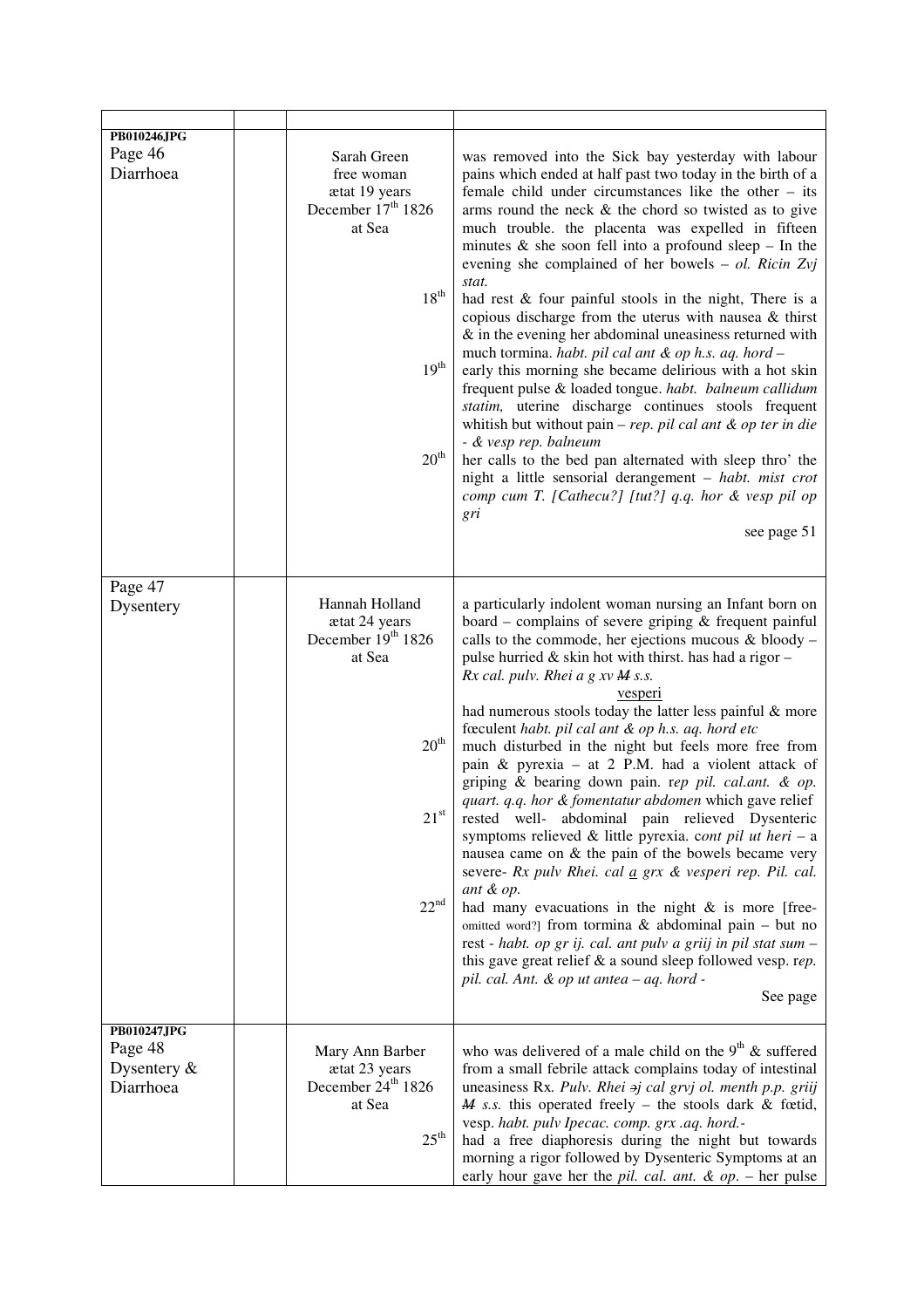| PB010246JPG    |                                |                                                                           |
|----------------|--------------------------------|---------------------------------------------------------------------------|
|                |                                |                                                                           |
| Page 46        | Sarah Green                    | was removed into the Sick bay yesterday with labour                       |
| Diarrhoea      | free woman                     | pains which ended at half past two today in the birth of a                |
|                | ætat 19 years                  | female child under circumstances like the other $-$ its                   |
|                | December 17 <sup>th</sup> 1826 | arms round the neck $\&$ the chord so twisted as to give                  |
|                | at Sea                         | much trouble. the placenta was expelled in fifteen                        |
|                |                                | minutes $\&$ she soon fell into a profound sleep - In the                 |
|                |                                | evening she complained of her bowels $-$ ol. Ricin Zvj                    |
|                |                                | stat.                                                                     |
|                | $18^{\rm th}$                  | had rest & four painful stools in the night, There is a                   |
|                |                                | copious discharge from the uterus with nausea & thirst                    |
|                |                                | $\&$ in the evening her abdominal uneasiness returned with                |
|                |                                |                                                                           |
|                | 19 <sup>th</sup>               | much tormina. habt. pil cal ant & op h.s. aq. hord -                      |
|                |                                | early this morning she became delirious with a hot skin                   |
|                |                                | frequent pulse & loaded tongue. habt. balneum callidum                    |
|                |                                | statim, uterine discharge continues stools frequent                       |
|                |                                | whitish but without pain $- rep.$ pil cal ant $\&$ op ter in die          |
|                |                                | - & vesp rep. balneum                                                     |
|                | $20^{\rm th}$                  | her calls to the bed pan alternated with sleep thro' the                  |
|                |                                | night a little sensorial derangement - habt. mist crot                    |
|                |                                | comp cum T. [Cathecu?] [tut?] q.q. hor & vesp pil op                      |
|                |                                | gri                                                                       |
|                |                                | see page 51                                                               |
|                |                                |                                                                           |
|                |                                |                                                                           |
| Page 47        |                                |                                                                           |
| Dysentery      | Hannah Holland                 | a particularly indolent woman nursing an Infant born on                   |
|                | ætat 24 years                  | board – complains of severe griping $&$ frequent painful                  |
|                | December 19th 1826             | calls to the commode, her ejections mucous $&$ bloody –                   |
|                | at Sea                         | pulse hurried & skin hot with thirst. has had a rigor-                    |
|                |                                | Rx cal. pulv. Rhei a $g$ xv $M$ s.s.                                      |
|                |                                | vesperi                                                                   |
|                |                                | had numerous stools today the latter less painful & more                  |
|                |                                | fœculent habt. pil cal ant & op h.s. aq. hord etc                         |
|                | $20^{\rm th}$                  | much disturbed in the night but feels more free from                      |
|                |                                | pain & pyrexia $-$ at 2 P.M. had a violent attack of                      |
|                |                                | griping & bearing down pain. rep pil. cal.ant. & op.                      |
|                |                                | quart. q.q. hor & fomentatur abdomen which gave relief                    |
|                | $21^{\rm st}$                  | rested well- abdominal pain relieved Dysenteric                           |
|                |                                | symptoms relieved & little pyrexia. cont pil ut heri - a                  |
|                |                                | nausea came on & the pain of the bowels became very                       |
|                |                                | severe- Rx pulv Rhei. cal $\underline{a}$ grx $\&$ vesperi rep. Pil. cal. |
|                |                                | ant & op.                                                                 |
|                | $22^{nd}$                      | had many evacuations in the night $\&$ is more [free-                     |
|                |                                | omitted word?] from tormina & abdominal pain – but no                     |
|                |                                | rest - habt. op gr ij. cal. ant pulv a griij in pil stat sum -            |
|                |                                | this gave great relief $\&$ a sound sleep followed vesp. rep.             |
|                |                                | pil. cal. Ant. & op ut antea - aq. hord -                                 |
|                |                                | See page                                                                  |
|                |                                |                                                                           |
| PB010247JPG    |                                |                                                                           |
| Page 48        | Mary Ann Barber                | who was delivered of a male child on the $9th$ & suffered                 |
| Dysentery $\&$ | ætat 23 years                  | from a small febrile attack complains today of intestinal                 |
| Diarrhoea      | December 24 <sup>th</sup> 1826 |                                                                           |
|                |                                | uneasiness Rx. Pulv. Rhei aj cal grvj ol. menth p.p. griij                |
|                | at Sea                         | $M$ s.s. this operated freely - the stools dark & fœtid,                  |
|                |                                | vesp. habt. pulv Ipecac. comp. grx .aq. hord.-                            |
|                | $25^{\text{th}}$               | had a free diaphoresis during the night but towards                       |
|                |                                | morning a rigor followed by Dysenteric Symptoms at an                     |
|                |                                | early hour gave her the pil. cal. ant. $\&$ op. - her pulse               |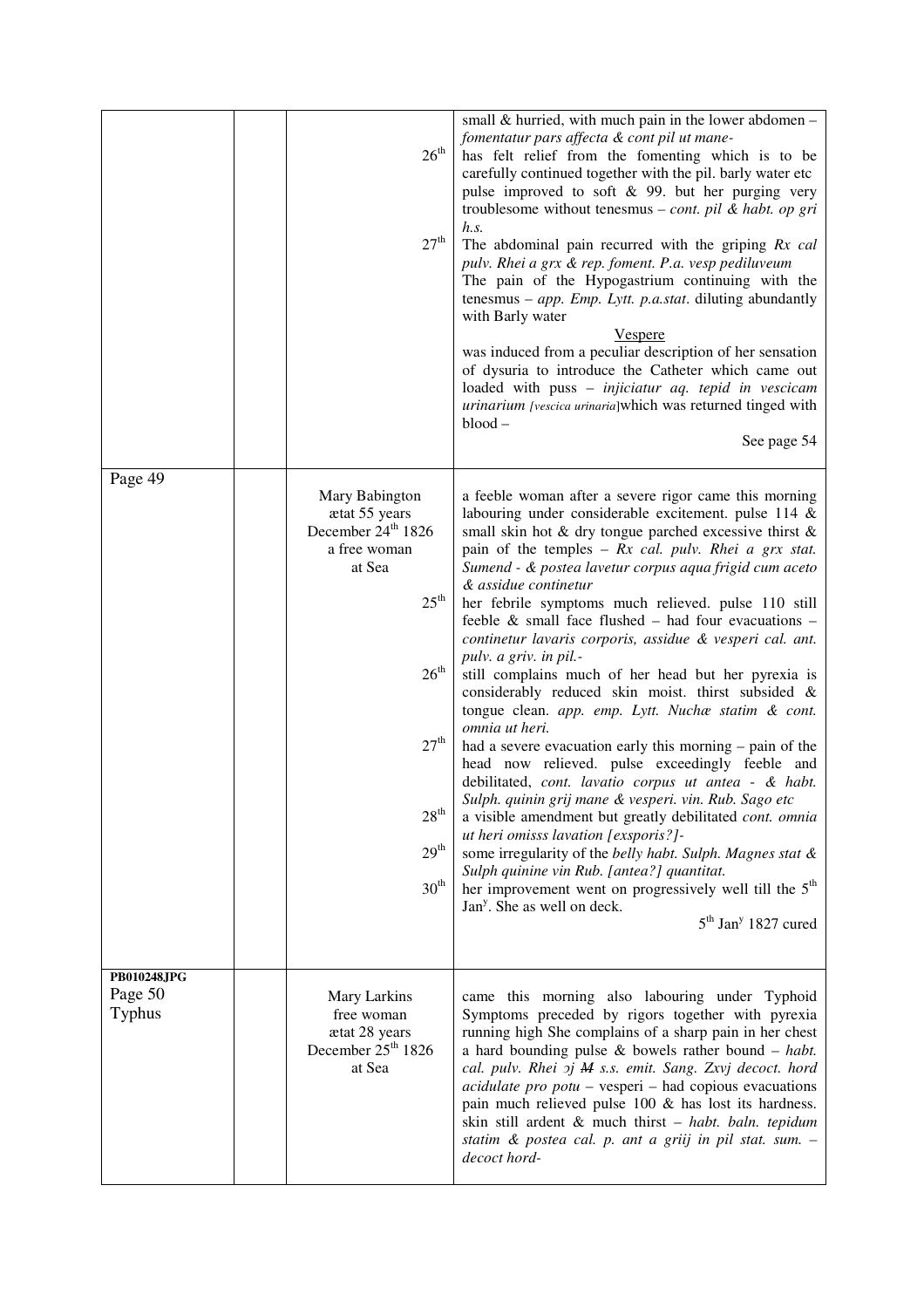|                                         | 26 <sup>th</sup><br>$27^{\rm th}$                                                                                                                                                                                | small $&$ hurried, with much pain in the lower abdomen –<br>fomentatur pars affecta & cont pil ut mane-<br>has felt relief from the fomenting which is to be<br>carefully continued together with the pil. barly water etc<br>pulse improved to soft & 99. but her purging very<br>troublesome without tenesmus – cont. pil & habt. op gri<br>h.s.<br>The abdominal pain recurred with the griping Rx cal<br>pulv. Rhei a grx & rep. foment. P.a. vesp pediluveum<br>The pain of the Hypogastrium continuing with the<br>tenesmus – app. Emp. Lytt. p.a.stat. diluting abundantly<br>with Barly water<br><b>Vespere</b><br>was induced from a peculiar description of her sensation<br>of dysuria to introduce the Catheter which came out<br>loaded with puss - injiciatur aq. tepid in vescicam<br>urinarium [vescica urinaria]which was returned tinged with<br>$blood -$<br>See page 54                                                                                                                                                                                                                                                                                                                                                                                                                 |
|-----------------------------------------|------------------------------------------------------------------------------------------------------------------------------------------------------------------------------------------------------------------|-------------------------------------------------------------------------------------------------------------------------------------------------------------------------------------------------------------------------------------------------------------------------------------------------------------------------------------------------------------------------------------------------------------------------------------------------------------------------------------------------------------------------------------------------------------------------------------------------------------------------------------------------------------------------------------------------------------------------------------------------------------------------------------------------------------------------------------------------------------------------------------------------------------------------------------------------------------------------------------------------------------------------------------------------------------------------------------------------------------------------------------------------------------------------------------------------------------------------------------------------------------------------------------------------------------|
| Page 49                                 | Mary Babington<br>ætat 55 years<br>December 24 <sup>th</sup> 1826<br>a free woman<br>at Sea<br>$25^{\text{th}}$<br>$26^{\rm th}$<br>27 <sup>th</sup><br>28 <sup>th</sup><br>29 <sup>th</sup><br>30 <sup>th</sup> | a feeble woman after a severe rigor came this morning<br>labouring under considerable excitement. pulse 114 &<br>small skin hot & dry tongue parched excessive thirst &<br>pain of the temples $- Rx$ cal. pulv. Rhei a grx stat.<br>Sumend - & postea lavetur corpus aqua frigid cum aceto<br>& assidue continetur<br>her febrile symptoms much relieved. pulse 110 still<br>feeble $\&$ small face flushed – had four evacuations –<br>continetur lavaris corporis, assidue & vesperi cal. ant.<br>pulv. a griv. in pil.-<br>still complains much of her head but her pyrexia is<br>considerably reduced skin moist. thirst subsided &<br>tongue clean. app. emp. Lytt. Nuchæ statim & cont.<br>omnia ut heri.<br>had a severe evacuation early this morning – pain of the<br>head now relieved. pulse exceedingly feeble and<br>debilitated, cont. lavatio corpus ut antea - & habt.<br>Sulph. quinin grij mane & vesperi. vin. Rub. Sago etc<br>a visible amendment but greatly debilitated cont. omnia<br>ut heri omisss lavation [exsporis?]-<br>some irregularity of the belly habt. Sulph. Magnes stat &<br>Sulph quinine vin Rub. [antea?] quantitat.<br>her improvement went on progressively well till the $5th$<br>Jan <sup>y</sup> . She as well on deck.<br>$5th$ Jan <sup>y</sup> 1827 cured |
| PB010248JPG<br>Page 50<br><b>Typhus</b> | Mary Larkins<br>free woman<br>ætat 28 years<br>December 25 <sup>th</sup> 1826<br>at Sea                                                                                                                          | came this morning also labouring under Typhoid<br>Symptoms preceded by rigors together with pyrexia<br>running high She complains of a sharp pain in her chest<br>a hard bounding pulse $\&$ bowels rather bound $-$ habt.<br>cal. pulv. Rhei oj M s.s. emit. Sang. Zxvj decoct. hord<br>$\alpha$ <i>acidulate pro potu</i> – vesperi – had copious evacuations<br>pain much relieved pulse $100 \&$ has lost its hardness.<br>skin still ardent & much thirst - habt. baln. tepidum<br>statim & postea cal. p. ant a griij in pil stat. sum. -<br>decoct hord-                                                                                                                                                                                                                                                                                                                                                                                                                                                                                                                                                                                                                                                                                                                                             |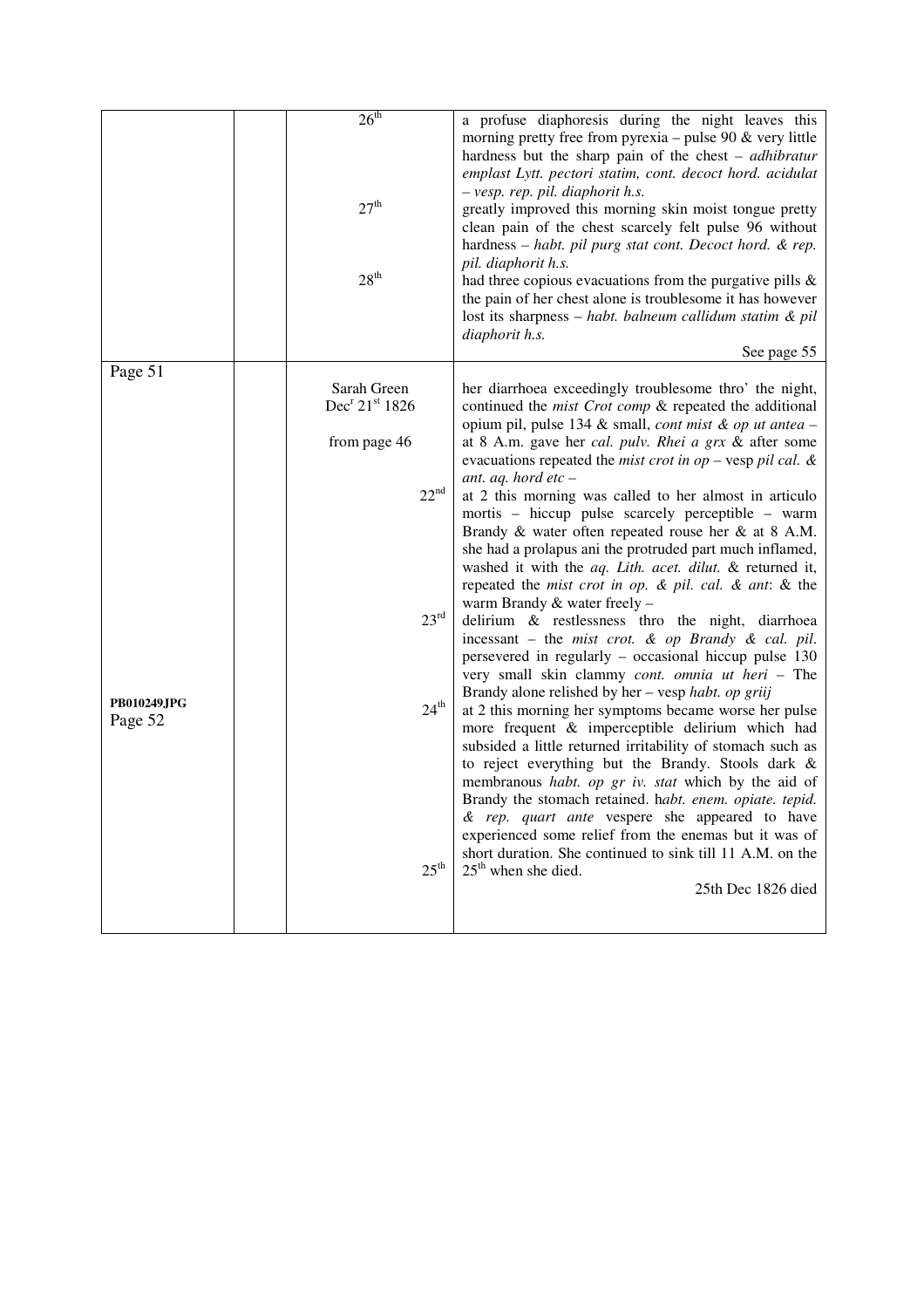|                               | 26 <sup>th</sup><br>27 <sup>th</sup><br>28 <sup>th</sup>                                                                                    | a profuse diaphoresis during the night leaves this<br>morning pretty free from pyrexia – pulse 90 $\&$ very little<br>hardness but the sharp pain of the chest $-$ <i>adhibratur</i><br>emplast Lytt. pectori statim, cont. decoct hord. acidulat<br>- vesp. rep. pil. diaphorit h.s.<br>greatly improved this morning skin moist tongue pretty<br>clean pain of the chest scarcely felt pulse 96 without<br>hardness - habt. pil purg stat cont. Decoct hord. & rep.<br>pil. diaphorit h.s.<br>had three copious evacuations from the purgative pills $\&$<br>the pain of her chest alone is troublesome it has however<br>lost its sharpness - habt. balneum callidum statim & pil<br>diaphorit h.s.<br>See page 55                                                                                                                                                                                                                                                                                                                                                                                                                                                                                                                                                                                                                                                                                                                                                                                                                                                 |
|-------------------------------|---------------------------------------------------------------------------------------------------------------------------------------------|-----------------------------------------------------------------------------------------------------------------------------------------------------------------------------------------------------------------------------------------------------------------------------------------------------------------------------------------------------------------------------------------------------------------------------------------------------------------------------------------------------------------------------------------------------------------------------------------------------------------------------------------------------------------------------------------------------------------------------------------------------------------------------------------------------------------------------------------------------------------------------------------------------------------------------------------------------------------------------------------------------------------------------------------------------------------------------------------------------------------------------------------------------------------------------------------------------------------------------------------------------------------------------------------------------------------------------------------------------------------------------------------------------------------------------------------------------------------------------------------------------------------------------------------------------------------------|
| Page 51                       |                                                                                                                                             |                                                                                                                                                                                                                                                                                                                                                                                                                                                                                                                                                                                                                                                                                                                                                                                                                                                                                                                                                                                                                                                                                                                                                                                                                                                                                                                                                                                                                                                                                                                                                                       |
| <b>PB010249JPG</b><br>Page 52 | Sarah Green<br>Dec <sup>r</sup> 21 <sup>st</sup> 1826<br>from page 46<br>$22^{nd}$<br>$23^{\text{rd}}$<br>$24^{\rm th}$<br>$25^{\text{th}}$ | her diarrhoea exceedingly troublesome thro' the night,<br>continued the <i>mist Crot comp</i> & repeated the additional<br>opium pil, pulse 134 & small, cont mist & op ut antea -<br>at 8 A.m. gave her cal. pulv. Rhei a grx & after some<br>evacuations repeated the mist crot in op - vesp pil cal. $\&$<br>ant. aq. hord etc $-$<br>at 2 this morning was called to her almost in articulo<br>mortis – hiccup pulse scarcely perceptible – warm<br>Brandy & water often repeated rouse her & at 8 A.M.<br>she had a prolapus ani the protruded part much inflamed,<br>washed it with the aq. Lith. acet. dilut. & returned it,<br>repeated the mist crot in op. & pil. cal. & ant: & the<br>warm Brandy & water freely -<br>delirium & restlessness thro the night, diarrhoea<br>incessant – the mist crot. $\&$ op Brandy $\&$ cal. pil.<br>persevered in regularly - occasional hiccup pulse 130<br>very small skin clammy cont. omnia ut heri - The<br>Brandy alone relished by her – vesp habt. op griij<br>at 2 this morning her symptoms became worse her pulse<br>more frequent & imperceptible delirium which had<br>subsided a little returned irritability of stomach such as<br>to reject everything but the Brandy. Stools dark &<br>membranous habt. op gr iv. stat which by the aid of<br>Brandy the stomach retained. habt. enem. opiate. tepid.<br>& rep. quart ante vespere she appeared to have<br>experienced some relief from the enemas but it was of<br>short duration. She continued to sink till 11 A.M. on the<br>$25th$ when she died. |
|                               |                                                                                                                                             | 25th Dec 1826 died                                                                                                                                                                                                                                                                                                                                                                                                                                                                                                                                                                                                                                                                                                                                                                                                                                                                                                                                                                                                                                                                                                                                                                                                                                                                                                                                                                                                                                                                                                                                                    |
|                               |                                                                                                                                             |                                                                                                                                                                                                                                                                                                                                                                                                                                                                                                                                                                                                                                                                                                                                                                                                                                                                                                                                                                                                                                                                                                                                                                                                                                                                                                                                                                                                                                                                                                                                                                       |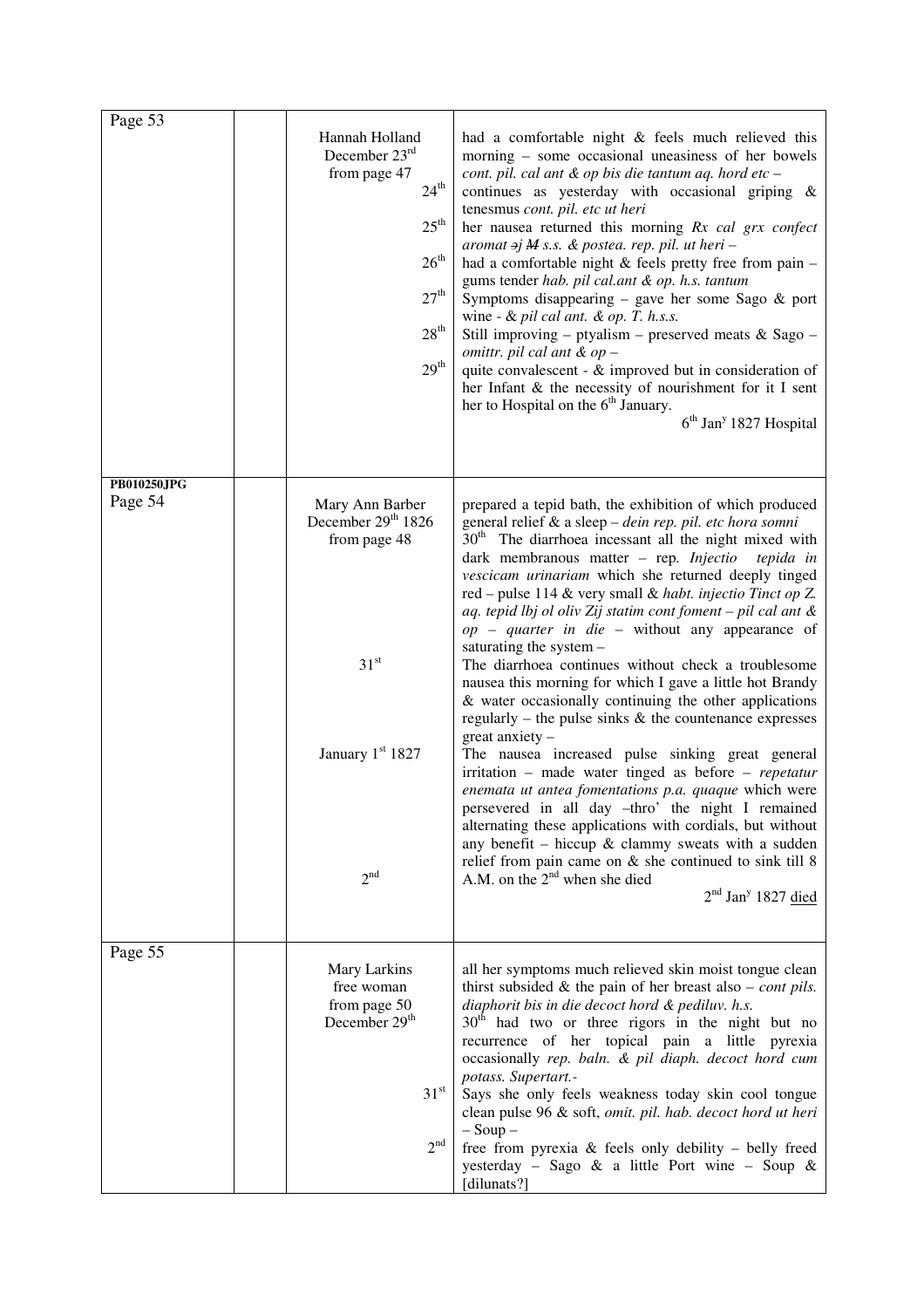| Page 53                | Hannah Holland<br>December $23rd$<br>from page 47<br>$24^{\rm th}$<br>$25^{\text{th}}$<br>26 <sup>th</sup><br>27 <sup>th</sup><br>28 <sup>th</sup><br>29 <sup>th</sup> | had a comfortable night & feels much relieved this<br>morning – some occasional uneasiness of her bowels<br>cont. pil. cal ant & op bis die tantum aq. hord etc -<br>continues as yesterday with occasional griping &<br>tenesmus cont. pil. etc ut heri<br>her nausea returned this morning Rx cal grx confect<br>aromat $\Rightarrow j$ M s.s. & postea. rep. pil. ut heri -<br>had a comfortable night $&$ feels pretty free from pain $-$<br>gums tender hab. pil cal.ant & op. h.s. tantum<br>Symptoms disappearing – gave her some Sago $\&$ port<br>wine - & pil cal ant. & op. T. h.s.s.<br>Still improving – ptyalism – preserved meats $&$ Sago –<br>omittr. pil cal ant $&$ op $-$<br>quite convalescent - & improved but in consideration of<br>her Infant & the necessity of nourishment for it I sent<br>her to Hospital on the 6 <sup>th</sup> January.<br>6 <sup>th</sup> Jan <sup>y</sup> 1827 Hospital                                                                                                                                                                                                                                                                                                                                                            |
|------------------------|------------------------------------------------------------------------------------------------------------------------------------------------------------------------|-------------------------------------------------------------------------------------------------------------------------------------------------------------------------------------------------------------------------------------------------------------------------------------------------------------------------------------------------------------------------------------------------------------------------------------------------------------------------------------------------------------------------------------------------------------------------------------------------------------------------------------------------------------------------------------------------------------------------------------------------------------------------------------------------------------------------------------------------------------------------------------------------------------------------------------------------------------------------------------------------------------------------------------------------------------------------------------------------------------------------------------------------------------------------------------------------------------------------------------------------------------------------------------|
| PB010250JPG<br>Page 54 | Mary Ann Barber<br>December 29 <sup>th</sup> 1826<br>from page 48<br>31 <sup>st</sup><br>January 1st 1827<br>2 <sup>nd</sup>                                           | prepared a tepid bath, the exhibition of which produced<br>general relief & a sleep - dein rep. pil. etc hora somni<br>30 <sup>th</sup> The diarrhoea incessant all the night mixed with<br>dark membranous matter - rep. Injectio<br>tepida in<br>vescicam urinariam which she returned deeply tinged<br>red – pulse 114 & very small & habt. injectio Tinct op Z.<br>aq. tepid lbj ol oliv Zij statim cont foment - pil cal ant &<br>$op$ – quarter in die – without any appearance of<br>saturating the system -<br>The diarrhoea continues without check a troublesome<br>nausea this morning for which I gave a little hot Brandy<br>& water occasionally continuing the other applications<br>regularly – the pulse sinks $\&$ the countenance expresses<br>$\frac{1}{2}$ great anxiety –<br>The nausea increased pulse sinking great general<br>irritation - made water tinged as before - repetatur<br>enemata ut antea fomentations p.a. quaque which were<br>persevered in all day -thro' the night I remained<br>alternating these applications with cordials, but without<br>any benefit – hiccup $\&$ clammy sweats with a sudden<br>relief from pain came on $\&$ she continued to sink till 8<br>A.M. on the $2nd$ when she died<br>$2nd$ Jan <sup>y</sup> 1827 died |
| Page 55                | Mary Larkins<br>free woman<br>from page 50<br>December 29 <sup>th</sup><br>31 <sup>st</sup><br>2 <sup>nd</sup>                                                         | all her symptoms much relieved skin moist tongue clean<br>thirst subsided $\&$ the pain of her breast also – <i>cont pils</i> .<br>diaphorit bis in die decoct hord & pediluv. h.s.<br>$30th$ had two or three rigors in the night but no<br>recurrence of her topical pain a little pyrexia<br>occasionally rep. baln. & pil diaph. decoct hord cum<br>potass. Supertart.-<br>Says she only feels weakness today skin cool tongue<br>clean pulse 96 & soft, omit. pil. hab. decoct hord ut heri<br>$-$ Soup $-$<br>free from pyrexia & feels only debility - belly freed<br>yesterday - Sago & a little Port wine - Soup &<br>[dilunats?]                                                                                                                                                                                                                                                                                                                                                                                                                                                                                                                                                                                                                                          |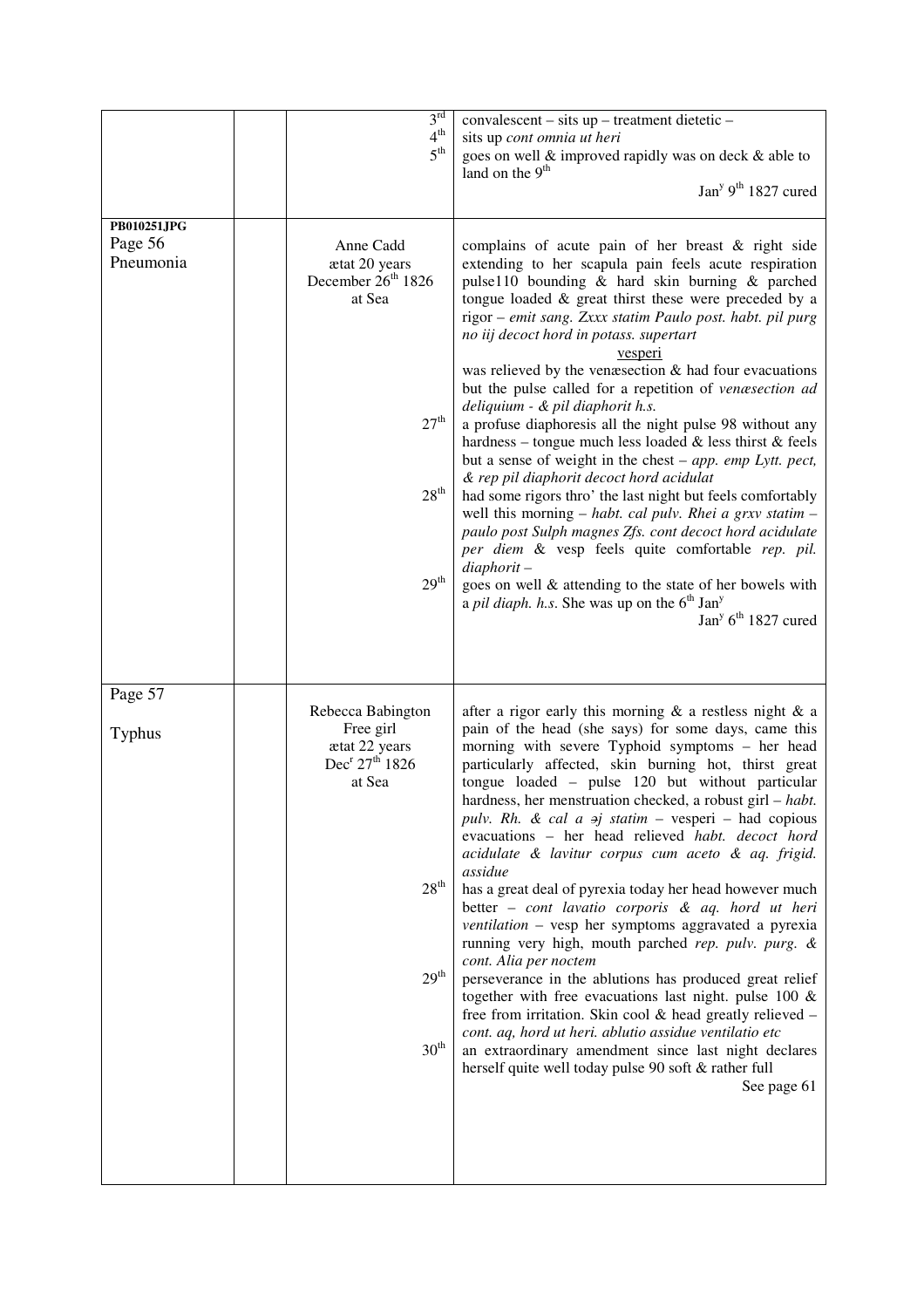|               | 3 <sup>rd</sup>                                         | convalescent – sits up – treatment dietetic –                                                                           |
|---------------|---------------------------------------------------------|-------------------------------------------------------------------------------------------------------------------------|
|               | $4^{th}$<br>5 <sup>th</sup>                             | sits up cont omnia ut heri                                                                                              |
|               |                                                         | goes on well & improved rapidly was on deck & able to<br>land on the 9 <sup>th</sup>                                    |
|               |                                                         | Jan <sup>y <math>9th</math> 1827 cured</sup>                                                                            |
|               |                                                         |                                                                                                                         |
| PB010251JPG   |                                                         |                                                                                                                         |
| Page 56       | Anne Cadd                                               | complains of acute pain of her breast $\&$ right side                                                                   |
| Pneumonia     | ætat 20 years                                           | extending to her scapula pain feels acute respiration                                                                   |
|               | December 26 <sup>th</sup> 1826                          | pulse110 bounding & hard skin burning & parched                                                                         |
|               | at Sea                                                  | tongue loaded & great thirst these were preceded by a                                                                   |
|               |                                                         | rigor - emit sang. Zxxx statim Paulo post. habt. pil purg                                                               |
|               |                                                         | no iij decoct hord in potass. supertart                                                                                 |
|               |                                                         | vesperi<br>was relieved by the venæsection $\&$ had four evacuations                                                    |
|               |                                                         | but the pulse called for a repetition of venæsection ad                                                                 |
|               |                                                         | deliquium - & pil diaphorit h.s.                                                                                        |
|               | 27 <sup>th</sup>                                        | a profuse diaphoresis all the night pulse 98 without any                                                                |
|               |                                                         | hardness – tongue much less loaded $\&$ less thirst $\&$ feels                                                          |
|               |                                                         | but a sense of weight in the chest – app. emp Lytt. pect,                                                               |
|               |                                                         | & rep pil diaphorit decoct hord acidulat                                                                                |
|               | 28 <sup>th</sup>                                        | had some rigors thro' the last night but feels comfortably                                                              |
|               |                                                         | well this morning $-$ habt. cal pulv. Rhei a grxv statim $-$<br>paulo post Sulph magnes Zfs. cont decoct hord acidulate |
|               |                                                         | per diem & vesp feels quite comfortable rep. pil.                                                                       |
|               |                                                         | $diaphorit -$                                                                                                           |
|               | 29 <sup>th</sup>                                        | goes on well & attending to the state of her bowels with                                                                |
|               |                                                         | a pil diaph. h.s. She was up on the $6th$ Jan <sup>y</sup>                                                              |
|               |                                                         | Jan <sup>y</sup> $6^{th}$ 1827 cured                                                                                    |
|               |                                                         |                                                                                                                         |
|               |                                                         |                                                                                                                         |
|               |                                                         |                                                                                                                         |
|               |                                                         |                                                                                                                         |
| Page 57       |                                                         |                                                                                                                         |
|               | Rebecca Babington                                       | after a rigor early this morning $\&$ a restless night $\&$ a                                                           |
| <b>Typhus</b> | Free girl                                               | pain of the head (she says) for some days, came this<br>morning with severe Typhoid symptoms - her head                 |
|               | ætat 22 years<br>Dec <sup>r</sup> 27 <sup>th</sup> 1826 | particularly affected, skin burning hot, thirst great                                                                   |
|               | at Sea                                                  | tongue loaded - pulse 120 but without particular                                                                        |
|               |                                                         | hardness, her menstruation checked, a robust girl $-$ habt.                                                             |
|               |                                                         | pulv. Rh. & cal $a \rightarrow j$ statim – vesperi – had copious                                                        |
|               |                                                         | evacuations - her head relieved habt. decoct hord                                                                       |
|               |                                                         | acidulate & lavitur corpus cum aceto & aq. frigid.                                                                      |
|               | $28^{\rm th}$                                           | assidue                                                                                                                 |
|               |                                                         | has a great deal of pyrexia today her head however much<br>better - cont lavatio corporis & aq. hord ut heri            |
|               |                                                         | ventilation - vesp her symptoms aggravated a pyrexia                                                                    |
|               |                                                         | running very high, mouth parched rep. pulv. purg. &                                                                     |
|               |                                                         | cont. Alia per noctem                                                                                                   |
|               | $29^{\rm th}$                                           | perseverance in the ablutions has produced great relief                                                                 |
|               |                                                         | together with free evacuations last night. pulse $100 \&$                                                               |
|               |                                                         | free from irritation. Skin cool & head greatly relieved -                                                               |
|               | 30 <sup>th</sup>                                        | cont. aq, hord ut heri. ablutio assidue ventilatio etc<br>an extraordinary amendment since last night declares          |
|               |                                                         | herself quite well today pulse 90 soft & rather full                                                                    |
|               |                                                         | See page 61                                                                                                             |
|               |                                                         |                                                                                                                         |
|               |                                                         |                                                                                                                         |
|               |                                                         |                                                                                                                         |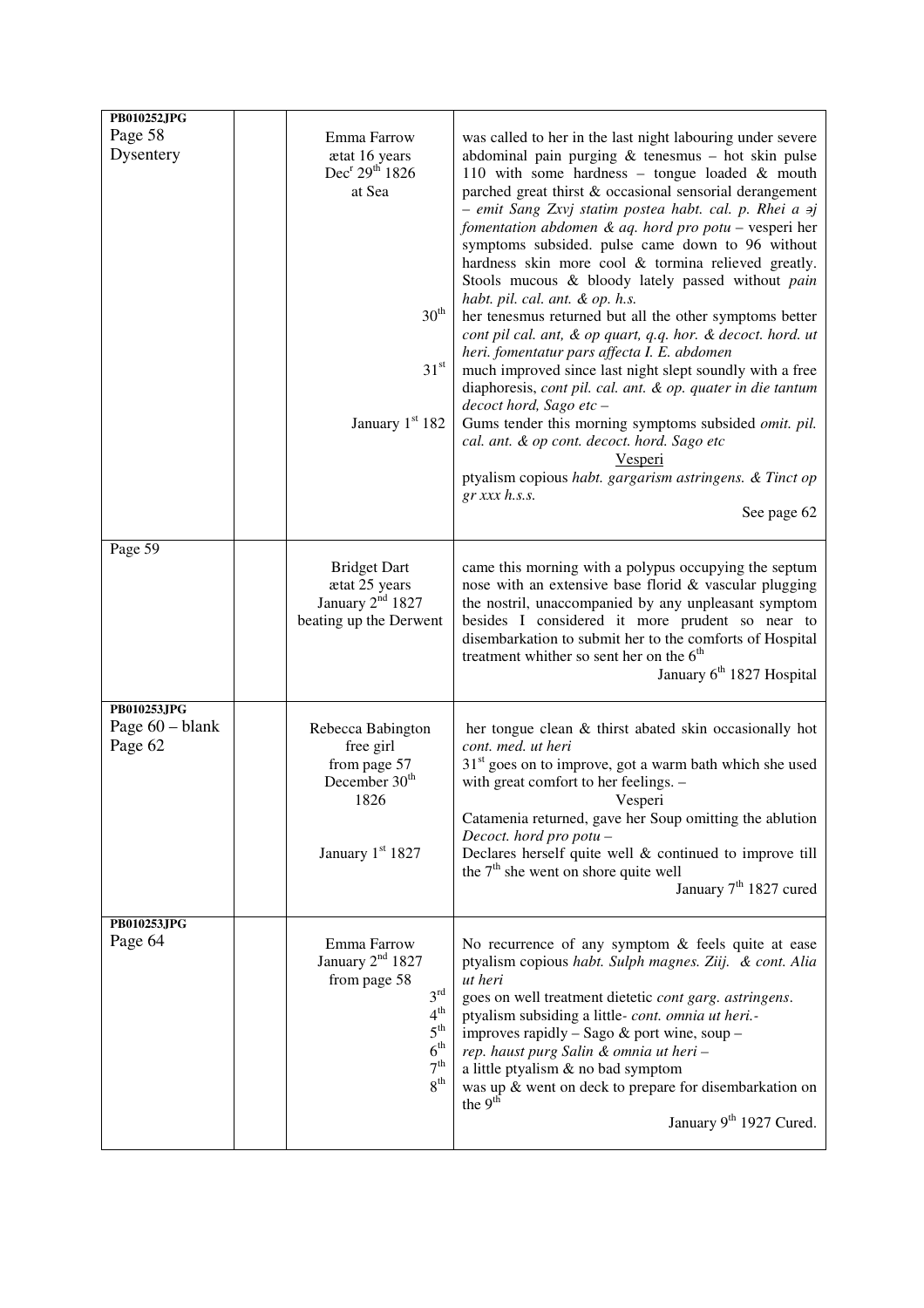| PB010252JPG                               |                                                                                                                                                                     |                                                                                                                                                                                                                                                                                                                                                                                                                                                                                                                                                                                                                                                                                                                                                                                                                                                                                                                                                                                                                                                                                                                |
|-------------------------------------------|---------------------------------------------------------------------------------------------------------------------------------------------------------------------|----------------------------------------------------------------------------------------------------------------------------------------------------------------------------------------------------------------------------------------------------------------------------------------------------------------------------------------------------------------------------------------------------------------------------------------------------------------------------------------------------------------------------------------------------------------------------------------------------------------------------------------------------------------------------------------------------------------------------------------------------------------------------------------------------------------------------------------------------------------------------------------------------------------------------------------------------------------------------------------------------------------------------------------------------------------------------------------------------------------|
| Page 58<br>Dysentery                      | Emma Farrow<br>ætat 16 years<br>Dec <sup>r</sup> 29 <sup>th</sup> 1826<br>at Sea<br>$30^{\rm th}$<br>$31^{\rm st}$<br>January $1st 182$                             | was called to her in the last night labouring under severe<br>abdominal pain purging $&$ tenesmus – hot skin pulse<br>110 with some hardness - tongue loaded & mouth<br>parched great thirst & occasional sensorial derangement<br>- emit Sang Zxvj statim postea habt. cal. p. Rhei a aj<br>fomentation abdomen & aq. hord pro potu - vesperi her<br>symptoms subsided. pulse came down to 96 without<br>hardness skin more cool & tormina relieved greatly.<br>Stools mucous & bloody lately passed without pain<br>habt. pil. cal. ant. & op. h.s.<br>her tenesmus returned but all the other symptoms better<br>cont pil cal. ant, & op quart, q.q. hor. & decoct. hord. ut<br>heri. fomentatur pars affecta I. E. abdomen<br>much improved since last night slept soundly with a free<br>diaphoresis, cont pil. cal. ant. & op. quater in die tantum<br>decoct hord, Sago etc -<br>Gums tender this morning symptoms subsided omit. pil.<br>cal. ant. & op cont. decoct. hord. Sago etc<br><u>Vesperi</u><br>ptyalism copious habt. gargarism astringens. & Tinct op<br>$gr$ xxx $h$ .s.s.<br>See page 62 |
| Page 59                                   | <b>Bridget Dart</b><br>ætat 25 years<br>January $2nd$ 1827<br>beating up the Derwent                                                                                | came this morning with a polypus occupying the septum<br>nose with an extensive base florid & vascular plugging<br>the nostril, unaccompanied by any unpleasant symptom<br>besides I considered it more prudent so near to<br>disembarkation to submit her to the comforts of Hospital<br>treatment whither so sent her on the 6 <sup>th</sup><br>January 6 <sup>th</sup> 1827 Hospital                                                                                                                                                                                                                                                                                                                                                                                                                                                                                                                                                                                                                                                                                                                        |
| PB010253JPG<br>Page 60 - blank<br>Page 62 | Rebecca Babington<br>free girl<br>from page 57<br>December 30 <sup>th</sup><br>1826<br>January 1st 1827                                                             | her tongue clean & thirst abated skin occasionally hot<br>cont. med. ut heri<br>$31st$ goes on to improve, got a warm bath which she used<br>with great comfort to her feelings. -<br>Vesperi<br>Catamenia returned, gave her Soup omitting the ablution<br>Decoct. hord pro potu-<br>Declares herself quite well $&$ continued to improve till<br>the 7 <sup>th</sup> she went on shore quite well<br>January 7 <sup>th</sup> 1827 cured                                                                                                                                                                                                                                                                                                                                                                                                                                                                                                                                                                                                                                                                      |
| PB010253JPG<br>Page 64                    | Emma Farrow<br>January $2nd$ 1827<br>from page 58<br>$3^{\text{rd}}$<br>$4^{\text{th}}$<br>$5^{\text{th}}$<br>6 <sup>th</sup><br>7 <sup>th</sup><br>8 <sup>th</sup> | No recurrence of any symptom $\&$ feels quite at ease<br>ptyalism copious habt. Sulph magnes. Ziij. & cont. Alia<br>ut heri<br>goes on well treatment dietetic cont garg. astringens.<br>ptyalism subsiding a little- cont. omnia ut heri.-<br>improves rapidly - Sago & port wine, soup -<br>rep. haust purg Salin & omnia ut heri-<br>a little ptyalism & no bad symptom<br>was up & went on deck to prepare for disembarkation on<br>the $9th$<br>January 9 <sup>th</sup> 1927 Cured.                                                                                                                                                                                                                                                                                                                                                                                                                                                                                                                                                                                                                       |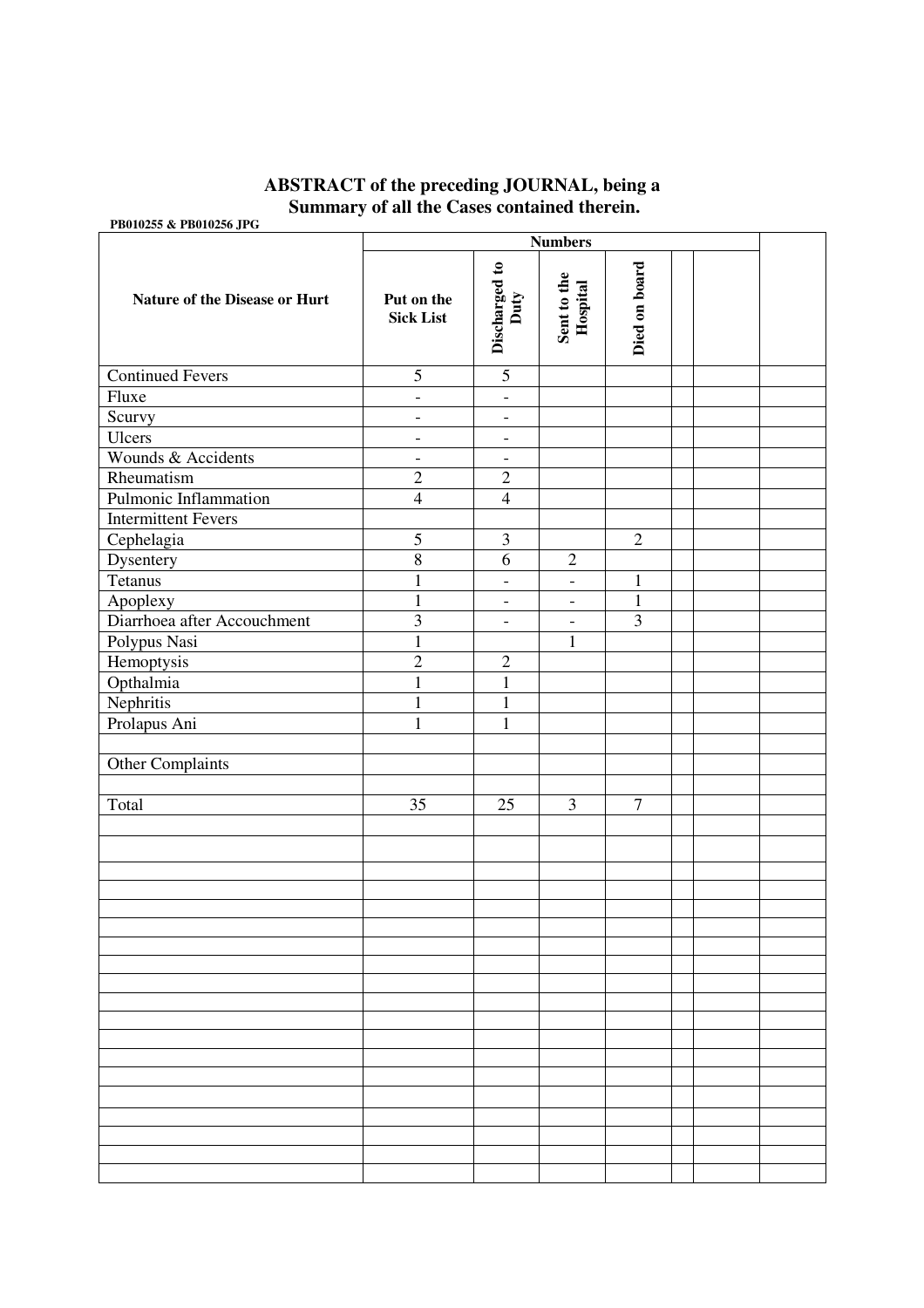## **ABSTRACT of the preceding JOURNAL, being a Summary of all the Cases contained therein.**

**PB010255 & PB010256 JPG** 

| $1.5010200$ at 1.15010200 Jr. 0.1200 | <b>Numbers</b>                 |                              |                          |                |  |  |
|--------------------------------------|--------------------------------|------------------------------|--------------------------|----------------|--|--|
| <b>Nature of the Disease or Hurt</b> | Put on the<br><b>Sick List</b> | Discharged to<br>Duty        | Sent to the<br>Hospital  | Died on board  |  |  |
| <b>Continued Fevers</b>              | 5                              | 5                            |                          |                |  |  |
| Fluxe                                | $\blacksquare$                 | $\Box$                       |                          |                |  |  |
| Scurvy                               | $\overline{\phantom{a}}$       | $\qquad \qquad -$            |                          |                |  |  |
| Ulcers                               | $\overline{\phantom{a}}$       | $\blacksquare$               |                          |                |  |  |
| Wounds & Accidents                   | $\overline{\phantom{a}}$       | $\qquad \qquad \blacksquare$ |                          |                |  |  |
| Rheumatism                           | $\overline{2}$                 | $\overline{2}$               |                          |                |  |  |
| Pulmonic Inflammation                | $\overline{4}$                 | $\overline{4}$               |                          |                |  |  |
| <b>Intermittent Fevers</b>           |                                |                              |                          |                |  |  |
| Cephelagia                           | $\overline{5}$                 | $\mathfrak{Z}$               |                          | $\overline{2}$ |  |  |
| Dysentery                            | $\overline{8}$                 | $\overline{6}$               | $\sqrt{2}$               |                |  |  |
| <b>Tetanus</b>                       | $\mathbf{1}$                   | $\blacksquare$               | $\overline{\phantom{a}}$ | $\mathbf{1}$   |  |  |
| Apoplexy                             | $\mathbf{1}$                   | $\blacksquare$               | $\overline{\phantom{a}}$ | $\mathbf{1}$   |  |  |
| Diarrhoea after Accouchment          | $\overline{\mathbf{3}}$        | $\overline{\phantom{0}}$     | $\overline{\phantom{a}}$ | $\overline{3}$ |  |  |
| Polypus Nasi                         | $\mathbf{1}$                   |                              | $\mathbf{1}$             |                |  |  |
| Hemoptysis                           | $\overline{2}$                 | $\overline{2}$               |                          |                |  |  |
| Opthalmia                            | $\mathbf{1}$                   | $\mathbf{1}$                 |                          |                |  |  |
| Nephritis                            | $\mathbf{1}$                   | $\mathbf{1}$                 |                          |                |  |  |
| Prolapus Ani                         | $\mathbf{1}$                   | $\mathbf{1}$                 |                          |                |  |  |
|                                      |                                |                              |                          |                |  |  |
| Other Complaints                     |                                |                              |                          |                |  |  |
|                                      |                                |                              |                          |                |  |  |
| Total                                | 35                             | 25                           | 3                        | $\tau$         |  |  |
|                                      |                                |                              |                          |                |  |  |
|                                      |                                |                              |                          |                |  |  |
|                                      |                                |                              |                          |                |  |  |
|                                      |                                |                              |                          |                |  |  |
|                                      |                                |                              |                          |                |  |  |
|                                      |                                |                              |                          |                |  |  |
|                                      |                                |                              |                          |                |  |  |
|                                      |                                |                              |                          |                |  |  |
|                                      |                                |                              |                          |                |  |  |
|                                      |                                |                              |                          |                |  |  |
|                                      |                                |                              |                          |                |  |  |
|                                      |                                |                              |                          |                |  |  |
|                                      |                                |                              |                          |                |  |  |
|                                      |                                |                              |                          |                |  |  |
|                                      |                                |                              |                          |                |  |  |
|                                      |                                |                              |                          |                |  |  |
|                                      |                                |                              |                          |                |  |  |
|                                      |                                |                              |                          |                |  |  |